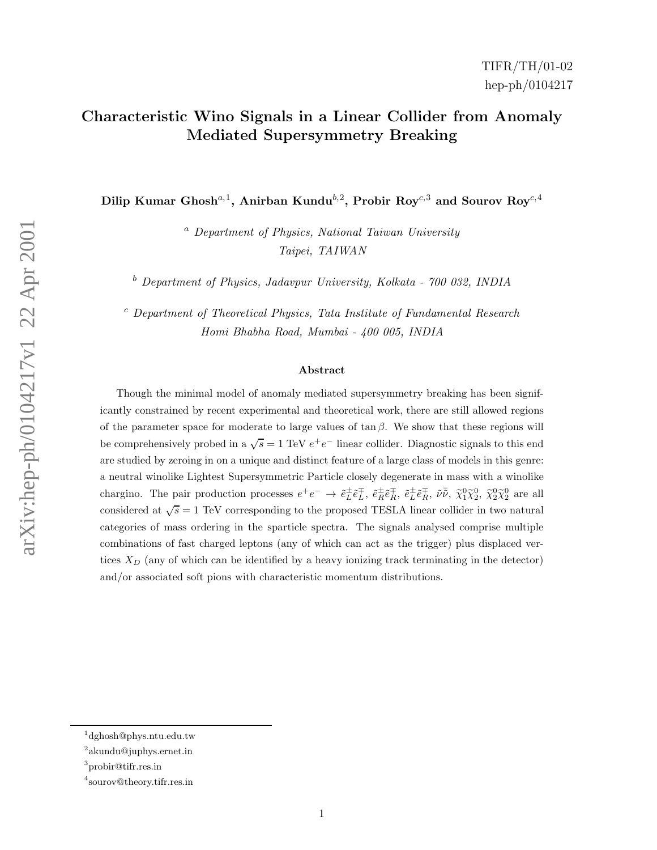# Characteristic Wino Signals in a Linear Collider from Anomaly Mediated Supersymmetry Breaking

Dilip Kumar Ghosh<sup>a, 1</sup>, Anirban Kundu<sup>b, 2</sup>, Probir Roy<sup>c, 3</sup> and Sourov Roy<sup>c, 4</sup>

<sup>a</sup> Department of Physics, National Taiwan University Taipei, TAIWAN

<sup>b</sup> Department of Physics, Jadavpur University, Kolkata - 700 032, INDIA

<sup>c</sup> Department of Theoretical Physics, Tata Institute of Fundamental Research Homi Bhabha Road, Mumbai - 400 005, INDIA

#### Abstract

Though the minimal model of anomaly mediated supersymmetry breaking has been significantly constrained by recent experimental and theoretical work, there are still allowed regions of the parameter space for moderate to large values of  $\tan \beta$ . We show that these regions will be comprehensively probed in a  $\sqrt{s} = 1$  TeV  $e^+e^-$  linear collider. Diagnostic signals to this end are studied by zeroing in on a unique and distinct feature of a large class of models in this genre: a neutral winolike Lightest Supersymmetric Particle closely degenerate in mass with a winolike chargino. The pair production processes  $e^+e^- \to \tilde{e}_L^{\pm} \tilde{e}_L^{\mp}$ ,  $\tilde{e}_R^{\pm} \tilde{e}_R^{\mp}$ ,  $\tilde{e}_L^{\pm} \tilde{e}_R^{\mp}$ ,  $\tilde{e}_L^{\pm} \tilde{e}_R^{\mp}$ ,  $\tilde{\nu} \tilde{\nu}$ ,  $\tilde{\chi}_1^0 \tilde{\chi}_2^0$ ,  $\tilde{\chi}_2^0 \tilde{\chi}_2^0$  are all considered at  $\sqrt{s} = 1$  TeV corresponding to the proposed TESLA linear collider in two natural categories of mass ordering in the sparticle spectra. The signals analysed comprise multiple combinations of fast charged leptons (any of which can act as the trigger) plus displaced vertices  $X_D$  (any of which can be identified by a heavy ionizing track terminating in the detector) and/or associated soft pions with characteristic momentum distributions.

<sup>1</sup> dghosh@phys.ntu.edu.tw

<sup>2</sup> akundu@juphys.ernet.in

<sup>3</sup> probir@tifr.res.in

<sup>4</sup> sourov@theory.tifr.res.in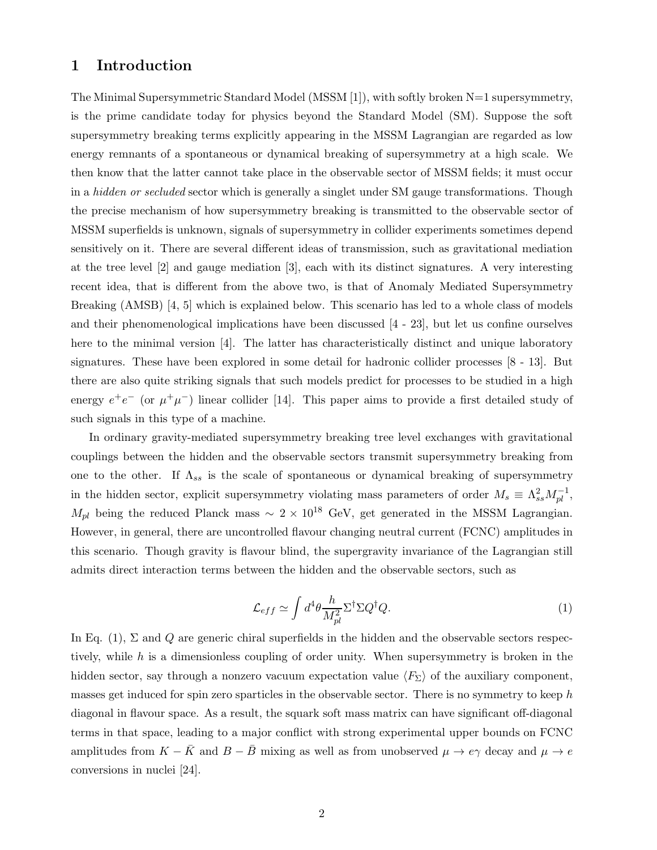### 1 Introduction

The Minimal Supersymmetric Standard Model (MSSM [1]), with softly broken N=1 supersymmetry, is the prime candidate today for physics beyond the Standard Model (SM). Suppose the soft supersymmetry breaking terms explicitly appearing in the MSSM Lagrangian are regarded as low energy remnants of a spontaneous or dynamical breaking of supersymmetry at a high scale. We then know that the latter cannot take place in the observable sector of MSSM fields; it must occur in a *hidden or secluded* sector which is generally a singlet under SM gauge transformations. Though the precise mechanism of how supersymmetry breaking is transmitted to the observable sector of MSSM superfields is unknown, signals of supersymmetry in collider experiments sometimes depend sensitively on it. There are several different ideas of transmission, such as gravitational mediation at the tree level [2] and gauge mediation [3], each with its distinct signatures. A very interesting recent idea, that is different from the above two, is that of Anomaly Mediated Supersymmetry Breaking (AMSB) [4, 5] which is explained below. This scenario has led to a whole class of models and their phenomenological implications have been discussed [4 - 23], but let us confine ourselves here to the minimal version [4]. The latter has characteristically distinct and unique laboratory signatures. These have been explored in some detail for hadronic collider processes [8 - 13]. But there are also quite striking signals that such models predict for processes to be studied in a high energy  $e^+e^-$  (or  $\mu^+\mu^-$ ) linear collider [14]. This paper aims to provide a first detailed study of such signals in this type of a machine.

In ordinary gravity-mediated supersymmetry breaking tree level exchanges with gravitational couplings between the hidden and the observable sectors transmit supersymmetry breaking from one to the other. If  $\Lambda_{ss}$  is the scale of spontaneous or dynamical breaking of supersymmetry in the hidden sector, explicit supersymmetry violating mass parameters of order  $M_s \equiv \Lambda_{ss}^2 M_{pl}^{-1}$ ,  $M_{pl}$  being the reduced Planck mass ~ 2 × 10<sup>18</sup> GeV, get generated in the MSSM Lagrangian. However, in general, there are uncontrolled flavour changing neutral current (FCNC) amplitudes in this scenario. Though gravity is flavour blind, the supergravity invariance of the Lagrangian still admits direct interaction terms between the hidden and the observable sectors, such as

$$
\mathcal{L}_{eff} \simeq \int d^4 \theta \frac{h}{M_{pl}^2} \Sigma^{\dagger} \Sigma Q^{\dagger} Q. \tag{1}
$$

In Eq. (1),  $\Sigma$  and Q are generic chiral superfields in the hidden and the observable sectors respectively, while h is a dimensionless coupling of order unity. When supersymmetry is broken in the hidden sector, say through a nonzero vacuum expectation value  $\langle F_{\Sigma} \rangle$  of the auxiliary component, masses get induced for spin zero sparticles in the observable sector. There is no symmetry to keep  $h$ diagonal in flavour space. As a result, the squark soft mass matrix can have significant off-diagonal terms in that space, leading to a major conflict with strong experimental upper bounds on FCNC amplitudes from  $K - \bar{K}$  and  $B - \bar{B}$  mixing as well as from unobserved  $\mu \to e\gamma$  decay and  $\mu \to e$ conversions in nuclei [24].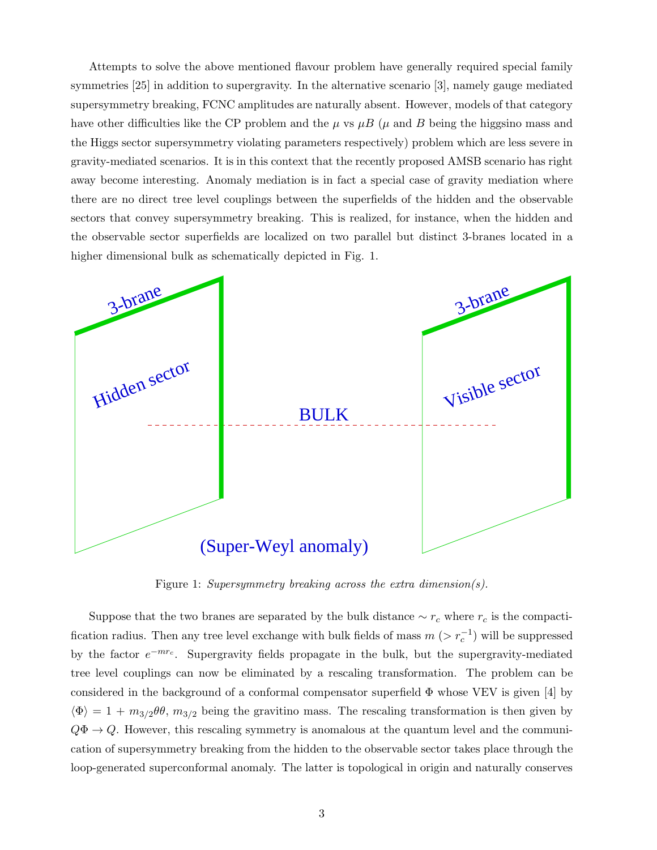Attempts to solve the above mentioned flavour problem have generally required special family symmetries [25] in addition to supergravity. In the alternative scenario [3], namely gauge mediated supersymmetry breaking, FCNC amplitudes are naturally absent. However, models of that category have other difficulties like the CP problem and the  $\mu$  vs  $\mu$ B ( $\mu$  and B being the higgsino mass and the Higgs sector supersymmetry violating parameters respectively) problem which are less severe in gravity-mediated scenarios. It is in this context that the recently proposed AMSB scenario has right away become interesting. Anomaly mediation is in fact a special case of gravity mediation where there are no direct tree level couplings between the superfields of the hidden and the observable sectors that convey supersymmetry breaking. This is realized, for instance, when the hidden and the observable sector superfields are localized on two parallel but distinct 3-branes located in a higher dimensional bulk as schematically depicted in Fig. 1.



Figure 1: Supersymmetry breaking across the extra dimension(s).

Suppose that the two branes are separated by the bulk distance  $\sim r_c$  where  $r_c$  is the compactification radius. Then any tree level exchange with bulk fields of mass  $m(z r_c^{-1})$  will be suppressed by the factor  $e^{-mr_c}$ . Supergravity fields propagate in the bulk, but the supergravity-mediated tree level couplings can now be eliminated by a rescaling transformation. The problem can be considered in the background of a conformal compensator superfield  $\Phi$  whose VEV is given [4] by  $\langle \Phi \rangle = 1 + m_{3/2} \theta \theta$ ,  $m_{3/2}$  being the gravitino mass. The rescaling transformation is then given by  $Q\Phi \to Q$ . However, this rescaling symmetry is anomalous at the quantum level and the communication of supersymmetry breaking from the hidden to the observable sector takes place through the loop-generated superconformal anomaly. The latter is topological in origin and naturally conserves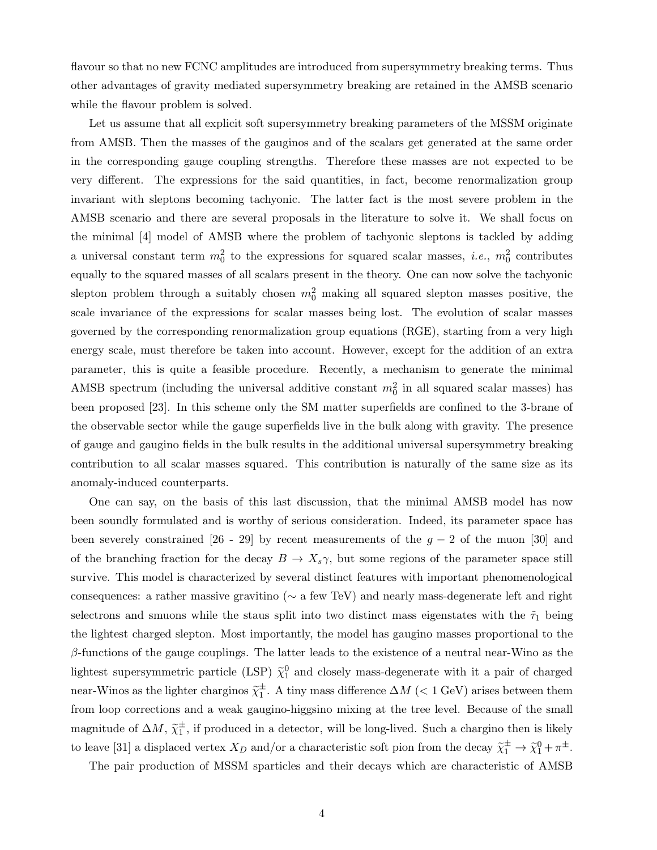flavour so that no new FCNC amplitudes are introduced from supersymmetry breaking terms. Thus other advantages of gravity mediated supersymmetry breaking are retained in the AMSB scenario while the flavour problem is solved.

Let us assume that all explicit soft supersymmetry breaking parameters of the MSSM originate from AMSB. Then the masses of the gauginos and of the scalars get generated at the same order in the corresponding gauge coupling strengths. Therefore these masses are not expected to be very different. The expressions for the said quantities, in fact, become renormalization group invariant with sleptons becoming tachyonic. The latter fact is the most severe problem in the AMSB scenario and there are several proposals in the literature to solve it. We shall focus on the minimal [4] model of AMSB where the problem of tachyonic sleptons is tackled by adding a universal constant term  $m_0^2$  to the expressions for squared scalar masses, *i.e.*,  $m_0^2$  contributes equally to the squared masses of all scalars present in the theory. One can now solve the tachyonic slepton problem through a suitably chosen  $m_0^2$  making all squared slepton masses positive, the scale invariance of the expressions for scalar masses being lost. The evolution of scalar masses governed by the corresponding renormalization group equations (RGE), starting from a very high energy scale, must therefore be taken into account. However, except for the addition of an extra parameter, this is quite a feasible procedure. Recently, a mechanism to generate the minimal AMSB spectrum (including the universal additive constant  $m_0^2$  in all squared scalar masses) has been proposed [23]. In this scheme only the SM matter superfields are confined to the 3-brane of the observable sector while the gauge superfields live in the bulk along with gravity. The presence of gauge and gaugino fields in the bulk results in the additional universal supersymmetry breaking contribution to all scalar masses squared. This contribution is naturally of the same size as its anomaly-induced counterparts.

One can say, on the basis of this last discussion, that the minimal AMSB model has now been soundly formulated and is worthy of serious consideration. Indeed, its parameter space has been severely constrained [26 - 29] by recent measurements of the  $g - 2$  of the muon [30] and of the branching fraction for the decay  $B \to X_s \gamma$ , but some regions of the parameter space still survive. This model is characterized by several distinct features with important phenomenological consequences: a rather massive gravitino (∼ a few TeV) and nearly mass-degenerate left and right selectrons and smuons while the staus split into two distinct mass eigenstates with the  $\tilde{\tau}_1$  being the lightest charged slepton. Most importantly, the model has gaugino masses proportional to the  $\beta$ -functions of the gauge couplings. The latter leads to the existence of a neutral near-Wino as the lightest supersymmetric particle (LSP)  $\tilde{\chi}_1^0$  and closely mass-degenerate with it a pair of charged near-Winos as the lighter charginos  $\tilde{\chi}_1^{\pm}$ . A tiny mass difference  $\Delta M$  (< 1 GeV) arises between them from loop corrections and a weak gaugino-higgsino mixing at the tree level. Because of the small magnitude of  $\Delta M$ ,  $\tilde{\chi}_1^{\pm}$ , if produced in a detector, will be long-lived. Such a chargino then is likely to leave [31] a displaced vertex  $X_D$  and/or a characteristic soft pion from the decay  $\tilde{\chi}_1^{\pm} \to \tilde{\chi}_1^0 + \pi^{\pm}$ .

The pair production of MSSM sparticles and their decays which are characteristic of AMSB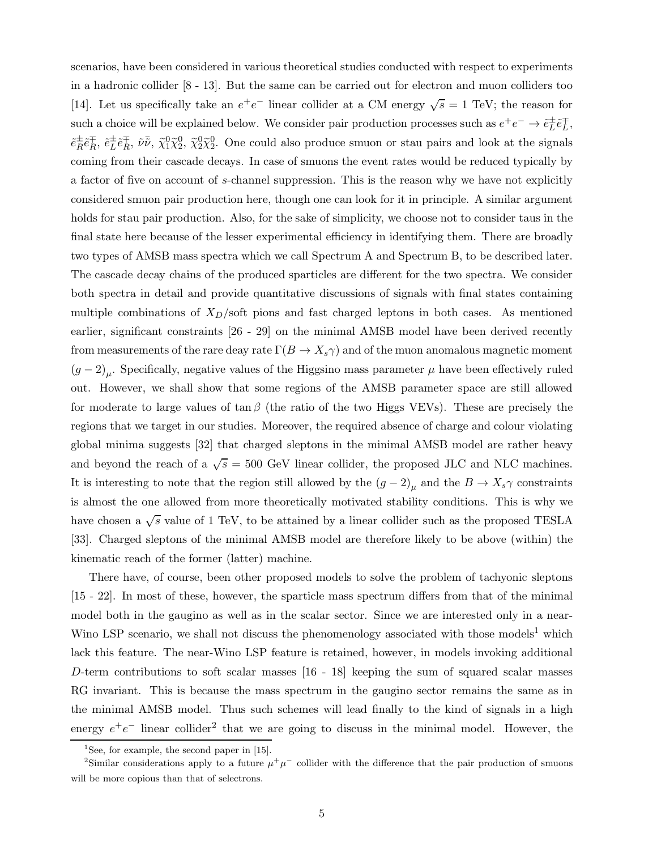scenarios, have been considered in various theoretical studies conducted with respect to experiments in a hadronic collider [8 - 13]. But the same can be carried out for electron and muon colliders too [14]. Let us specifically take an  $e^+e^-$  linear collider at a CM energy  $\sqrt{s} = 1$  TeV; the reason for such a choice will be explained below. We consider pair production processes such as  $e^+e^- \to \tilde{e}_L^{\pm} \tilde{e}_L^{\mp}$ ,  $\tilde{e}^{\pm}_{R}$  $\overset{\pm}{R}\tilde{e}^{\mp}_{R}$  $\bar{e}_L^{\pm}$ ,  $\tilde{e}_L^{\pm}$  $\stackrel{\pm}{L}\tilde{e}_R^\mp$  $\bar{R}$ ,  $\tilde{\nu}\bar{\tilde{\nu}}$ ,  $\tilde{\chi}_2^0\tilde{\chi}_2^0$ ,  $\tilde{\chi}_2^0\tilde{\chi}_2^0$ . One could also produce smuon or stau pairs and look at the signals coming from their cascade decays. In case of smuons the event rates would be reduced typically by a factor of five on account of s-channel suppression. This is the reason why we have not explicitly considered smuon pair production here, though one can look for it in principle. A similar argument holds for stau pair production. Also, for the sake of simplicity, we choose not to consider taus in the final state here because of the lesser experimental efficiency in identifying them. There are broadly two types of AMSB mass spectra which we call Spectrum A and Spectrum B, to be described later. The cascade decay chains of the produced sparticles are different for the two spectra. We consider both spectra in detail and provide quantitative discussions of signals with final states containing multiple combinations of  $X_D$ /soft pions and fast charged leptons in both cases. As mentioned earlier, significant constraints [26 - 29] on the minimal AMSB model have been derived recently from measurements of the rare deay rate  $\Gamma(B \to X_s \gamma)$  and of the muon anomalous magnetic moment  $(g-2)_{\mu}$ . Specifically, negative values of the Higgsino mass parameter  $\mu$  have been effectively ruled out. However, we shall show that some regions of the AMSB parameter space are still allowed for moderate to large values of tan  $\beta$  (the ratio of the two Higgs VEVs). These are precisely the regions that we target in our studies. Moreover, the required absence of charge and colour violating global minima suggests [32] that charged sleptons in the minimal AMSB model are rather heavy and beyond the reach of a  $\sqrt{s} = 500$  GeV linear collider, the proposed JLC and NLC machines. It is interesting to note that the region still allowed by the  $(g-2)_{\mu}$  and the  $B \to X_s \gamma$  constraints is almost the one allowed from more theoretically motivated stability conditions. This is why we have chosen a  $\sqrt{s}$  value of 1 TeV, to be attained by a linear collider such as the proposed TESLA [33]. Charged sleptons of the minimal AMSB model are therefore likely to be above (within) the kinematic reach of the former (latter) machine.

There have, of course, been other proposed models to solve the problem of tachyonic sleptons [15 - 22]. In most of these, however, the sparticle mass spectrum differs from that of the minimal model both in the gaugino as well as in the scalar sector. Since we are interested only in a near-Wino LSP scenario, we shall not discuss the phenomenology associated with those models<sup>1</sup> which lack this feature. The near-Wino LSP feature is retained, however, in models invoking additional D-term contributions to soft scalar masses [16 - 18] keeping the sum of squared scalar masses RG invariant. This is because the mass spectrum in the gaugino sector remains the same as in the minimal AMSB model. Thus such schemes will lead finally to the kind of signals in a high energy  $e^+e^-$  linear collider<sup>2</sup> that we are going to discuss in the minimal model. However, the

<sup>&</sup>lt;sup>1</sup>See, for example, the second paper in [15].

<sup>&</sup>lt;sup>2</sup>Similar considerations apply to a future  $\mu^+\mu^-$  collider with the difference that the pair production of smuons will be more copious than that of selectrons.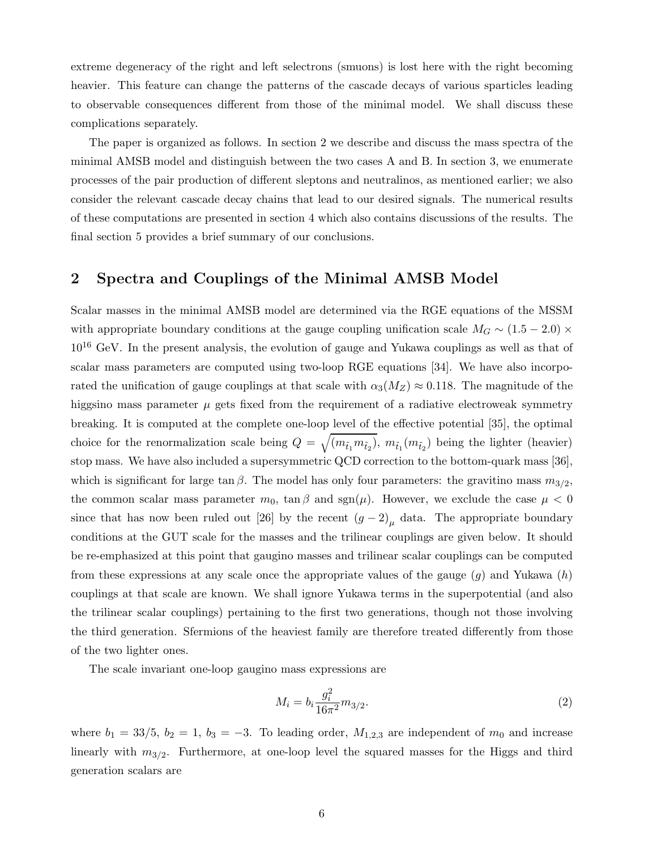extreme degeneracy of the right and left selectrons (smuons) is lost here with the right becoming heavier. This feature can change the patterns of the cascade decays of various sparticles leading to observable consequences different from those of the minimal model. We shall discuss these complications separately.

The paper is organized as follows. In section 2 we describe and discuss the mass spectra of the minimal AMSB model and distinguish between the two cases A and B. In section 3, we enumerate processes of the pair production of different sleptons and neutralinos, as mentioned earlier; we also consider the relevant cascade decay chains that lead to our desired signals. The numerical results of these computations are presented in section 4 which also contains discussions of the results. The final section 5 provides a brief summary of our conclusions.

# 2 Spectra and Couplings of the Minimal AMSB Model

Scalar masses in the minimal AMSB model are determined via the RGE equations of the MSSM with appropriate boundary conditions at the gauge coupling unification scale  $M_G \sim (1.5 - 2.0) \times$  $10^{16}$  GeV. In the present analysis, the evolution of gauge and Yukawa couplings as well as that of scalar mass parameters are computed using two-loop RGE equations [34]. We have also incorporated the unification of gauge couplings at that scale with  $\alpha_3(M_Z) \approx 0.118$ . The magnitude of the higgsino mass parameter  $\mu$  gets fixed from the requirement of a radiative electroweak symmetry breaking. It is computed at the complete one-loop level of the effective potential [35], the optimal choice for the renormalization scale being  $Q = \sqrt{(m_{\tilde{t}_1} m_{\tilde{t}_2})}$ ,  $m_{\tilde{t}_1}(m_{\tilde{t}_2})$  being the lighter (heavier) stop mass. We have also included a supersymmetric QCD correction to the bottom-quark mass [36], which is significant for large tan  $\beta$ . The model has only four parameters: the gravitino mass  $m_{3/2}$ , the common scalar mass parameter  $m_0$ ,  $\tan \beta$  and  $sgn(\mu)$ . However, we exclude the case  $\mu < 0$ since that has now been ruled out [26] by the recent  $(g-2)_{\mu}$  data. The appropriate boundary conditions at the GUT scale for the masses and the trilinear couplings are given below. It should be re-emphasized at this point that gaugino masses and trilinear scalar couplings can be computed from these expressions at any scale once the appropriate values of the gauge  $(g)$  and Yukawa  $(h)$ couplings at that scale are known. We shall ignore Yukawa terms in the superpotential (and also the trilinear scalar couplings) pertaining to the first two generations, though not those involving the third generation. Sfermions of the heaviest family are therefore treated differently from those of the two lighter ones.

The scale invariant one-loop gaugino mass expressions are

$$
M_i = b_i \frac{g_i^2}{16\pi^2} m_{3/2}.
$$
 (2)

where  $b_1 = 33/5$ ,  $b_2 = 1$ ,  $b_3 = -3$ . To leading order,  $M_{1,2,3}$  are independent of  $m_0$  and increase linearly with  $m_{3/2}$ . Furthermore, at one-loop level the squared masses for the Higgs and third generation scalars are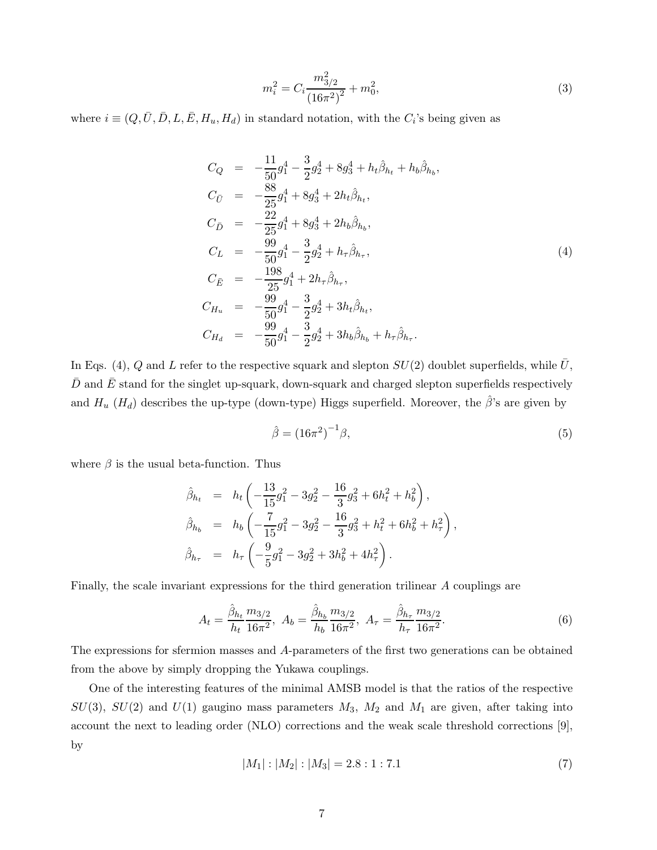$$
m_i^2 = C_i \frac{m_{3/2}^2}{(16\pi^2)^2} + m_0^2,
$$
\n(3)

where  $i \equiv (Q, \bar{U}, \bar{D}, L, \bar{E}, H_u, H_d)$  in standard notation, with the  $C_i$ 's being given as

$$
C_Q = -\frac{11}{50}g_1^4 - \frac{3}{2}g_2^4 + 8g_3^4 + h_t\hat{\beta}_{h_t} + h_b\hat{\beta}_{h_b},
$$
  
\n
$$
C_{\bar{U}} = -\frac{88}{25}g_1^4 + 8g_3^4 + 2h_t\hat{\beta}_{h_t},
$$
  
\n
$$
C_{\bar{D}} = -\frac{22}{25}g_1^4 + 8g_3^4 + 2h_b\hat{\beta}_{h_b},
$$
  
\n
$$
C_L = -\frac{99}{50}g_1^4 - \frac{3}{2}g_2^4 + h_\tau\hat{\beta}_{h_\tau},
$$
  
\n
$$
C_{\bar{E}} = -\frac{198}{25}g_1^4 + 2h_\tau\hat{\beta}_{h_\tau},
$$
  
\n
$$
C_{H_u} = -\frac{99}{50}g_1^4 - \frac{3}{2}g_2^4 + 3h_t\hat{\beta}_{h_t},
$$
  
\n
$$
C_{H_d} = -\frac{99}{50}g_1^4 - \frac{3}{2}g_2^4 + 3h_b\hat{\beta}_{h_b} + h_\tau\hat{\beta}_{h_\tau}.
$$
  
\n(4)

In Eqs. (4), Q and L refer to the respective squark and slepton  $SU(2)$  doublet superfields, while  $\bar{U}$ ,  $\bar{D}$  and  $\bar{E}$  stand for the singlet up-squark, down-squark and charged slepton superfields respectively and  $H_u$  ( $H_d$ ) describes the up-type (down-type) Higgs superfield. Moreover, the  $\hat{\beta}$ 's are given by

$$
\hat{\beta} = \left(16\pi^2\right)^{-1}\beta,\tag{5}
$$

where  $\beta$  is the usual beta-function. Thus

$$
\hat{\beta}_{h_t} = h_t \left( -\frac{13}{15} g_1^2 - 3g_2^2 - \frac{16}{3} g_3^2 + 6h_t^2 + h_b^2 \right),
$$
  
\n
$$
\hat{\beta}_{h_b} = h_b \left( -\frac{7}{15} g_1^2 - 3g_2^2 - \frac{16}{3} g_3^2 + h_t^2 + 6h_b^2 + h_\tau^2 \right),
$$
  
\n
$$
\hat{\beta}_{h_\tau} = h_\tau \left( -\frac{9}{5} g_1^2 - 3g_2^2 + 3h_b^2 + 4h_\tau^2 \right).
$$

Finally, the scale invariant expressions for the third generation trilinear A couplings are

$$
A_t = \frac{\hat{\beta}_{h_t}}{h_t} \frac{m_{3/2}}{16\pi^2}, \ A_b = \frac{\hat{\beta}_{h_b}}{h_b} \frac{m_{3/2}}{16\pi^2}, \ A_\tau = \frac{\hat{\beta}_{h_\tau}}{h_\tau} \frac{m_{3/2}}{16\pi^2}.
$$
 (6)

The expressions for sfermion masses and A-parameters of the first two generations can be obtained from the above by simply dropping the Yukawa couplings.

One of the interesting features of the minimal AMSB model is that the ratios of the respective  $SU(3)$ ,  $SU(2)$  and  $U(1)$  gaugino mass parameters  $M_3$ ,  $M_2$  and  $M_1$  are given, after taking into account the next to leading order (NLO) corrections and the weak scale threshold corrections [9], by

$$
|M_1|: |M_2|: |M_3| = 2.8:1:7.1
$$
\n(7)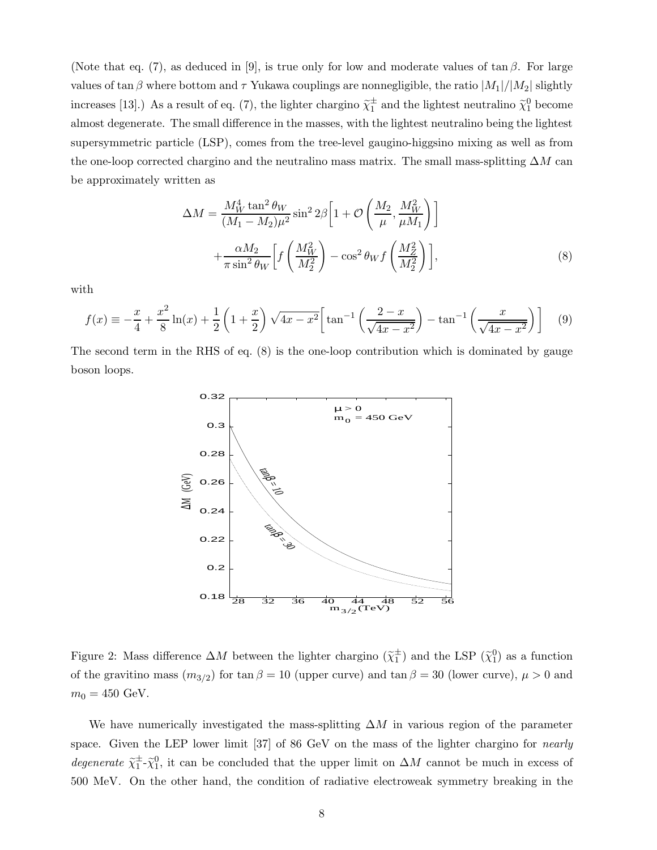(Note that eq. (7), as deduced in [9], is true only for low and moderate values of tan  $\beta$ . For large values of tan β where bottom and  $\tau$  Yukawa couplings are nonnegligible, the ratio  $|M_1|/|M_2|$  slightly increases [13].) As a result of eq. (7), the lighter chargino  $\tilde{\chi}_1^{\pm}$  and the lightest neutralino  $\tilde{\chi}_1^0$  become almost degenerate. The small difference in the masses, with the lightest neutralino being the lightest supersymmetric particle (LSP), comes from the tree-level gaugino-higgsino mixing as well as from the one-loop corrected chargino and the neutralino mass matrix. The small mass-splitting  $\Delta M$  can be approximately written as

$$
\Delta M = \frac{M_W^4 \tan^2 \theta_W}{(M_1 - M_2)\mu^2} \sin^2 2\beta \left[ 1 + \mathcal{O}\left(\frac{M_2}{\mu}, \frac{M_W^2}{\mu M_1}\right) \right]
$$

$$
+ \frac{\alpha M_2}{\pi \sin^2 \theta_W} \left[ f\left(\frac{M_W^2}{M_2^2}\right) - \cos^2 \theta_W f\left(\frac{M_Z^2}{M_2^2}\right) \right],
$$
(8)

with

$$
f(x) \equiv -\frac{x}{4} + \frac{x^2}{8}\ln(x) + \frac{1}{2}\left(1 + \frac{x}{2}\right)\sqrt{4x - x^2}\left[\tan^{-1}\left(\frac{2-x}{\sqrt{4x - x^2}}\right) - \tan^{-1}\left(\frac{x}{\sqrt{4x - x^2}}\right)\right] \tag{9}
$$

The second term in the RHS of eq. (8) is the one-loop contribution which is dominated by gauge boson loops.



Figure 2: Mass difference  $\Delta M$  between the lighter chargino  $(\tilde{\chi}_1^{\pm})$  and the LSP  $(\tilde{\chi}_1^0)$  as a function of the gravitino mass  $(m_{3/2})$  for tan  $\beta = 10$  (upper curve) and tan  $\beta = 30$  (lower curve),  $\mu > 0$  and  $m_0 = 450 \text{ GeV}.$ 

We have numerically investigated the mass-splitting  $\Delta M$  in various region of the parameter space. Given the LEP lower limit [37] of 86 GeV on the mass of the lighter chargino for *nearly* degenerate  $\tilde{\chi}_1^{\pm}$ - $\tilde{\chi}_1^0$ , it can be concluded that the upper limit on  $\Delta M$  cannot be much in excess of 500 MeV. On the other hand, the condition of radiative electroweak symmetry breaking in the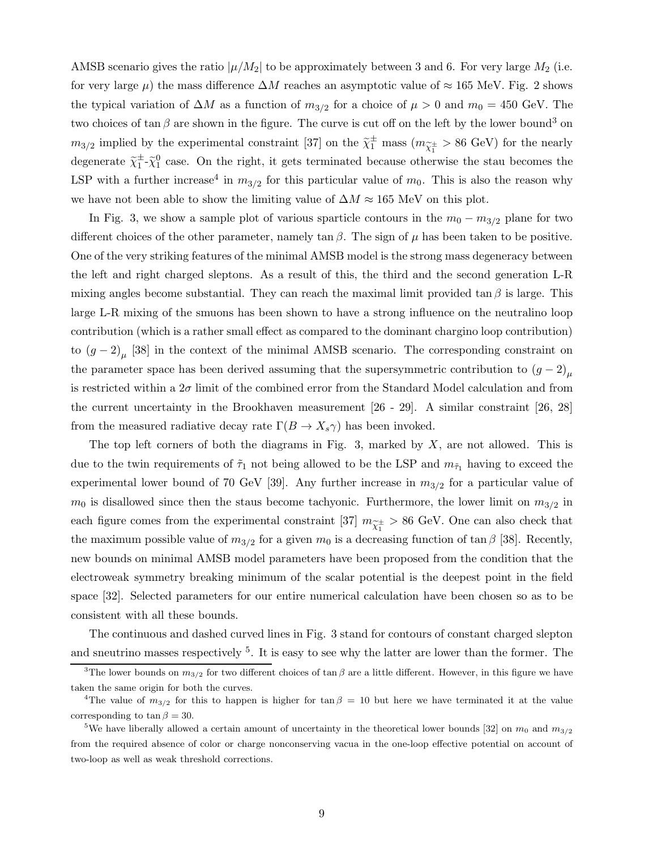AMSB scenario gives the ratio  $|\mu/M_2|$  to be approximately between 3 and 6. For very large  $M_2$  (i.e. for very large  $\mu$ ) the mass difference  $\Delta M$  reaches an asymptotic value of ≈ 165 MeV. Fig. 2 shows the typical variation of  $\Delta M$  as a function of  $m_{3/2}$  for a choice of  $\mu > 0$  and  $m_0 = 450$  GeV. The two choices of  $\tan \beta$  are shown in the figure. The curve is cut off on the left by the lower bound<sup>3</sup> on  $m_{3/2}$  implied by the experimental constraint [37] on the  $\tilde{\chi}_1^{\pm}$  mass  $(m_{\tilde{\chi}_1^{\pm}} > 86 \text{ GeV})$  for the nearly degenerate  $\tilde{\chi}_1^{\pm}$ - $\tilde{\chi}_1^0$  case. On the right, it gets terminated because otherwise the stau becomes the LSP with a further increase<sup>4</sup> in  $m_{3/2}$  for this particular value of  $m_0$ . This is also the reason why we have not been able to show the limiting value of  $\Delta M \approx 165$  MeV on this plot.

In Fig. 3, we show a sample plot of various sparticle contours in the  $m_0 - m_{3/2}$  plane for two different choices of the other parameter, namely tan  $\beta$ . The sign of  $\mu$  has been taken to be positive. One of the very striking features of the minimal AMSB model is the strong mass degeneracy between the left and right charged sleptons. As a result of this, the third and the second generation L-R mixing angles become substantial. They can reach the maximal limit provided  $\tan \beta$  is large. This large L-R mixing of the smuons has been shown to have a strong influence on the neutralino loop contribution (which is a rather small effect as compared to the dominant chargino loop contribution) to  $(g-2)_{\mu}$  [38] in the context of the minimal AMSB scenario. The corresponding constraint on the parameter space has been derived assuming that the supersymmetric contribution to  $(g - 2)_{\mu}$ is restricted within a  $2\sigma$  limit of the combined error from the Standard Model calculation and from the current uncertainty in the Brookhaven measurement [26 - 29]. A similar constraint [26, 28] from the measured radiative decay rate  $\Gamma(B \to X_s \gamma)$  has been invoked.

The top left corners of both the diagrams in Fig. 3, marked by  $X$ , are not allowed. This is due to the twin requirements of  $\tilde{\tau}_1$  not being allowed to be the LSP and  $m_{\tilde{\tau}_1}$  having to exceed the experimental lower bound of 70 GeV [39]. Any further increase in  $m_{3/2}$  for a particular value of  $m_0$  is disallowed since then the staus become tachyonic. Furthermore, the lower limit on  $m_{3/2}$  in each figure comes from the experimental constraint [37]  $m_{\tilde{\chi}_1^{\pm}} > 86$  GeV. One can also check that the maximum possible value of  $m_{3/2}$  for a given  $m_0$  is a decreasing function of tan  $\beta$  [38]. Recently, new bounds on minimal AMSB model parameters have been proposed from the condition that the electroweak symmetry breaking minimum of the scalar potential is the deepest point in the field space [32]. Selected parameters for our entire numerical calculation have been chosen so as to be consistent with all these bounds.

The continuous and dashed curved lines in Fig. 3 stand for contours of constant charged slepton and sneutrino masses respectively  $^5$ . It is easy to see why the latter are lower than the former. The

<sup>&</sup>lt;sup>3</sup>The lower bounds on  $m_{3/2}$  for two different choices of tan  $\beta$  are a little different. However, in this figure we have taken the same origin for both the curves.

<sup>&</sup>lt;sup>4</sup>The value of  $m_{3/2}$  for this to happen is higher for tan  $\beta = 10$  but here we have terminated it at the value corresponding to tan  $\beta = 30$ .

<sup>&</sup>lt;sup>5</sup>We have liberally allowed a certain amount of uncertainty in the theoretical lower bounds [32] on  $m_0$  and  $m_{3/2}$ from the required absence of color or charge nonconserving vacua in the one-loop effective potential on account of two-loop as well as weak threshold corrections.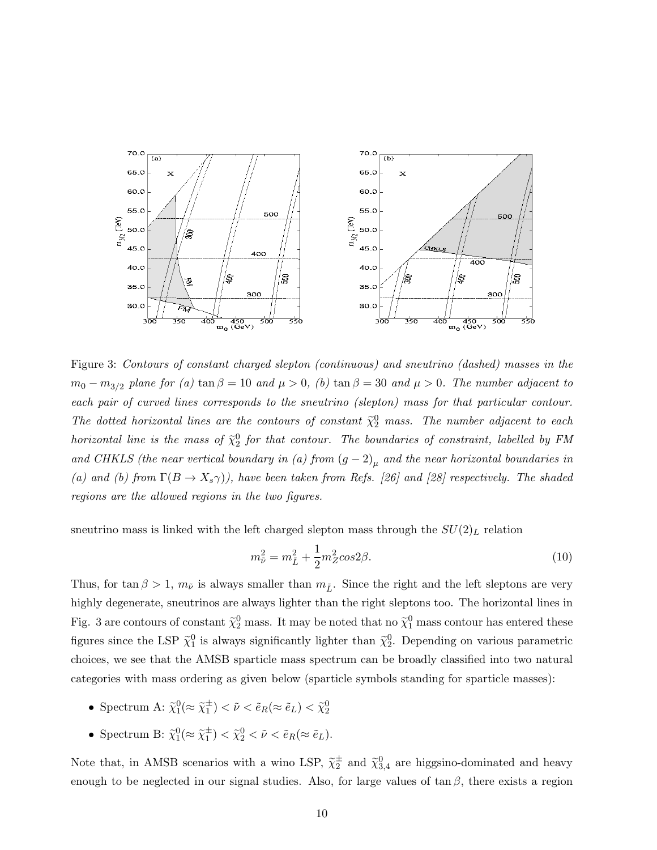

Figure 3: Contours of constant charged slepton (continuous) and sneutrino (dashed) masses in the  $m_0 - m_{3/2}$  plane for (a) tan  $\beta = 10$  and  $\mu > 0$ , (b) tan  $\beta = 30$  and  $\mu > 0$ . The number adjacent to each pair of curved lines corresponds to the sneutrino (slepton) mass for that particular contour. The dotted horizontal lines are the contours of constant  $\tilde{\chi}_2^0$  mass. The number adjacent to each horizontal line is the mass of  $\tilde{\chi}^0_2$  for that contour. The boundaries of constraint, labelled by FM and CHKLS (the near vertical boundary in (a) from  $(g-2)_{\mu}$  and the near horizontal boundaries in (a) and (b) from  $\Gamma(B \to X_s \gamma)$ ), have been taken from Refs. [26] and [28] respectively. The shaded regions are the allowed regions in the two figures.

sneutrino mass is linked with the left charged slepton mass through the  $SU(2)_L$  relation

$$
m_{\tilde{\nu}}^2 = m_{\tilde{L}}^2 + \frac{1}{2}m_Z^2 \cos 2\beta.
$$
 (10)

Thus, for tan  $\beta > 1$ ,  $m_{\tilde{\nu}}$  is always smaller than  $m_{\tilde{L}}$ . Since the right and the left sleptons are very highly degenerate, sneutrinos are always lighter than the right sleptons too. The horizontal lines in Fig. 3 are contours of constant  $\tilde{\chi}_2^0$  mass. It may be noted that no  $\tilde{\chi}_1^0$  mass contour has entered these figures since the LSP  $\tilde{\chi}_1^0$  is always significantly lighter than  $\tilde{\chi}_2^0$ . Depending on various parametric choices, we see that the AMSB sparticle mass spectrum can be broadly classified into two natural categories with mass ordering as given below (sparticle symbols standing for sparticle masses):

- Spectrum A:  $\tilde{\chi}_1^0(\approx \tilde{\chi}_1^{\pm}) < \tilde{\nu} < \tilde{e}_R(\approx \tilde{e}_L) < \tilde{\chi}_2^0$
- Spectrum B:  $\tilde{\chi}_1^0(\approx \tilde{\chi}_1^{\pm}) < \tilde{\chi}_2^0 < \tilde{\nu} < \tilde{e}_R(\approx \tilde{e}_L)$ .

Note that, in AMSB scenarios with a wino LSP,  $\tilde{\chi}_2^{\pm}$  and  $\tilde{\chi}_{3,4}^0$  are higgsino-dominated and heavy enough to be neglected in our signal studies. Also, for large values of  $\tan \beta$ , there exists a region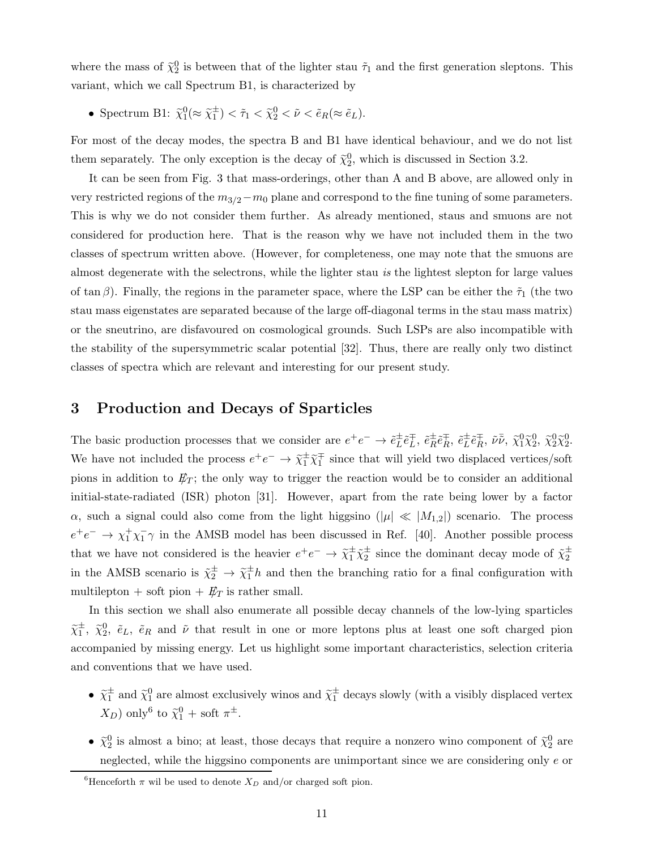where the mass of  $\tilde{\chi}_2^0$  is between that of the lighter stau  $\tilde{\tau}_1$  and the first generation sleptons. This variant, which we call Spectrum B1, is characterized by

• Spectrum B1:  $\tilde{\chi}_1^0(\approx \tilde{\chi}_1^{\pm}) < \tilde{\tau}_1 < \tilde{\chi}_2^0 < \tilde{\nu} < \tilde{e}_R(\approx \tilde{e}_L)$ .

For most of the decay modes, the spectra B and B1 have identical behaviour, and we do not list them separately. The only exception is the decay of  $\tilde{\chi}_2^0$ , which is discussed in Section 3.2.

It can be seen from Fig. 3 that mass-orderings, other than A and B above, are allowed only in very restricted regions of the  $m_{3/2}-m_0$  plane and correspond to the fine tuning of some parameters. This is why we do not consider them further. As already mentioned, staus and smuons are not considered for production here. That is the reason why we have not included them in the two classes of spectrum written above. (However, for completeness, one may note that the smuons are almost degenerate with the selectrons, while the lighter stau is the lightest slepton for large values of tan β). Finally, the regions in the parameter space, where the LSP can be either the  $\tilde{\tau}_1$  (the two stau mass eigenstates are separated because of the large off-diagonal terms in the stau mass matrix) or the sneutrino, are disfavoured on cosmological grounds. Such LSPs are also incompatible with the stability of the supersymmetric scalar potential [32]. Thus, there are really only two distinct classes of spectra which are relevant and interesting for our present study.

# 3 Production and Decays of Sparticles

The basic production processes that we consider are  $e^+e^- \to \tilde{e}_L^{\pm}$  $_{L}^{\pm} \tilde{e}_{L}^{\mp}$  $\bar{t}$ ,  $\tilde{e}^{\pm}_R$  $\overset{\pm}{R}\tilde{e}^{\mp}_{R}$  $\bar{e}_L^{\pm}$ ,  $\tilde{e}_L^{\pm}$  $\stackrel{\pm}{L}\tilde{e}_R^{\mp}$  $\bar{X}_R^1$ ,  $\tilde{\nu} \bar{\tilde{\nu}}$ ,  $\tilde{\chi}_1^0 \tilde{\chi}_2^0$ ,  $\tilde{\chi}_2^0 \tilde{\chi}_2^0$ . We have not included the process  $e^+e^- \to \tilde{\chi}_1^{\pm} \tilde{\chi}_1^{\mp}$  since that will yield two displaced vertices/soft pions in addition to  $E_T$ ; the only way to trigger the reaction would be to consider an additional initial-state-radiated (ISR) photon [31]. However, apart from the rate being lower by a factor  $\alpha$ , such a signal could also come from the light higgsino  $(|\mu| \ll |M_{1,2}|)$  scenario. The process  $e^+e^- \rightarrow \chi_1^+\chi_1^-\gamma$  in the AMSB model has been discussed in Ref. [40]. Another possible process that we have not considered is the heavier  $e^+e^- \to \tilde{\chi}_1^{\pm} \tilde{\chi}_2^{\pm}$  since the dominant decay mode of  $\tilde{\chi}_2^{\pm}$ in the AMSB scenario is  $\tilde{\chi}_2^{\pm} \to \tilde{\chi}_1^{\pm} h$  and then the branching ratio for a final configuration with multilepton + soft pion +  $E_T$  is rather small.

In this section we shall also enumerate all possible decay channels of the low-lying sparticles  $\tilde{\chi}_1^{\pm}, \tilde{\chi}_2^0, \tilde{e}_L, \tilde{e}_R$  and  $\tilde{\nu}$  that result in one or more leptons plus at least one soft charged pion accompanied by missing energy. Let us highlight some important characteristics, selection criteria and conventions that we have used.

- $\tilde{\chi}_1^{\pm}$  and  $\tilde{\chi}_1^0$  are almost exclusively winos and  $\tilde{\chi}_1^{\pm}$  decays slowly (with a visibly displaced vertex  $(X_D)$  only<sup>6</sup> to  $\tilde{\chi}_1^0$  + soft  $\pi^{\pm}$ .
- $\tilde{\chi}_2^0$  is almost a bino; at least, those decays that require a nonzero wino component of  $\tilde{\chi}_2^0$  are neglected, while the higgsino components are unimportant since we are considering only e or

<sup>&</sup>lt;sup>6</sup>Henceforth  $\pi$  wil be used to denote  $X_D$  and/or charged soft pion.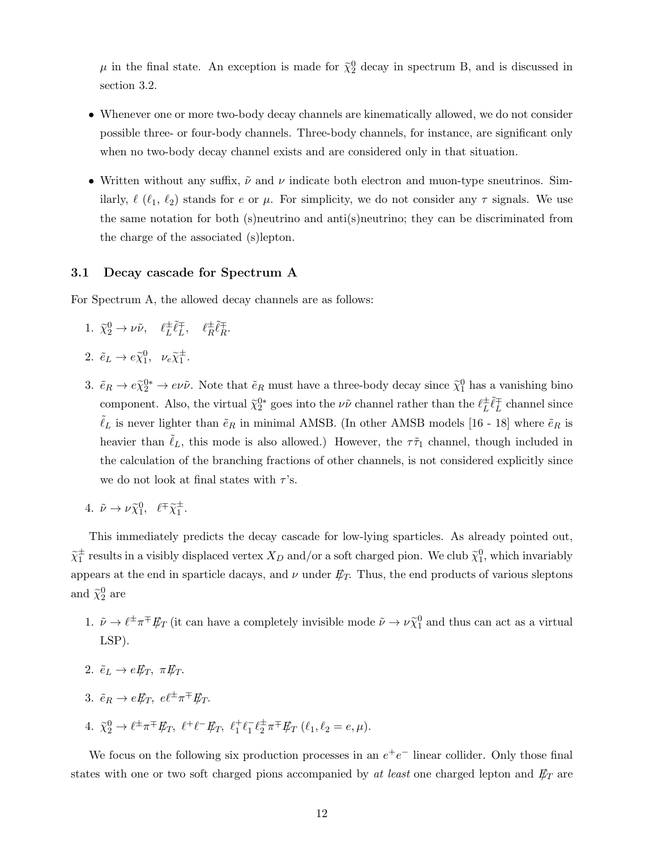$\mu$  in the final state. An exception is made for  $\tilde{\chi}_2^0$  decay in spectrum B, and is discussed in section 3.2.

- Whenever one or more two-body decay channels are kinematically allowed, we do not consider possible three- or four-body channels. Three-body channels, for instance, are significant only when no two-body decay channel exists and are considered only in that situation.
- Written without any suffix,  $\tilde{\nu}$  and  $\nu$  indicate both electron and muon-type sneutrinos. Similarly,  $\ell$  ( $\ell_1$ ,  $\ell_2$ ) stands for e or  $\mu$ . For simplicity, we do not consider any  $\tau$  signals. We use the same notation for both (s)neutrino and anti(s)neutrino; they can be discriminated from the charge of the associated (s)lepton.

#### 3.1 Decay cascade for Spectrum A

For Spectrum A, the allowed decay channels are as follows:

- 1.  $\tilde{\chi}_2^0 \rightarrow \nu \tilde{\nu}, \quad \ell_L^{\pm}$  $_{L}^{\pm}\tilde{\ell}_{L}^{\mp}$  $\ell_R^{\pm} \tilde{\ell}_R^{\mp}$  $_R^+$ .
- 2.  $\tilde{e}_L \to e \tilde{\chi}_1^0$ ,  $\nu_e \tilde{\chi}_1^{\pm}$ .
- 3.  $\tilde{e}_R \to e\tilde{\chi}_2^{0*} \to e\nu\tilde{\nu}$ . Note that  $\tilde{e}_R$  must have a three-body decay since  $\tilde{\chi}_1^0$  has a vanishing bino component. Also, the virtual  $\tilde{\chi}_2^{0*}$  goes into the  $\nu\tilde{\nu}$  channel rather than the  $\ell_L^{\pm}$  $\pm \tilde{\ell}_L^\mp$  $L^+$  channel since  $\tilde{\ell}_L$  is never lighter than  $\tilde{e}_R$  in minimal AMSB. (In other AMSB models [16 - 18] where  $\tilde{e}_R$  is heavier than  $\ell_L$ , this mode is also allowed.) However, the  $\tau\tilde{\tau}_1$  channel, though included in the calculation of the branching fractions of other channels, is not considered explicitly since we do not look at final states with  $\tau$ 's.
- 4.  $\tilde{\nu} \to \nu \tilde{\chi}_1^0$ ,  $\ell^{\mp} \tilde{\chi}_1^{\pm}$ .

This immediately predicts the decay cascade for low-lying sparticles. As already pointed out,  $\tilde{\chi}_1^{\pm}$  results in a visibly displaced vertex  $X_D$  and/or a soft charged pion. We club  $\tilde{\chi}_1^0$ , which invariably appears at the end in sparticle dacays, and  $\nu$  under  $E_T$ . Thus, the end products of various sleptons and  $\tilde{\chi}_2^0$  are

- 1.  $\tilde{\nu} \to \ell^{\pm} \pi^{\mp} E_T$  (it can have a completely invisible mode  $\tilde{\nu} \to \nu \tilde{\chi}_1^0$  and thus can act as a virtual LSP).
- 2.  $\tilde{e}_L \rightarrow e \tilde{E}_T$ ,  $\pi \tilde{E}_T$ .
- 3.  $\tilde{e}_R \to e \rlap{\,/}E_T$ ,  $e \ell^{\pm} \pi^{\mp} \rlap{\,/}E_T$ .
- 4.  $\tilde{\chi}_2^0 \to \ell^{\pm} \pi^{\mp} E_T$ ,  $\ell^+ \ell^- E_T$ ,  $\ell_1^+ \ell_1^- \ell_2^{\pm} \pi^{\mp} E_T$   $(\ell_1, \ell_2 = e, \mu)$ .

We focus on the following six production processes in an  $e^+e^-$  linear collider. Only those final states with one or two soft charged pions accompanied by at least one charged lepton and  $E_T$  are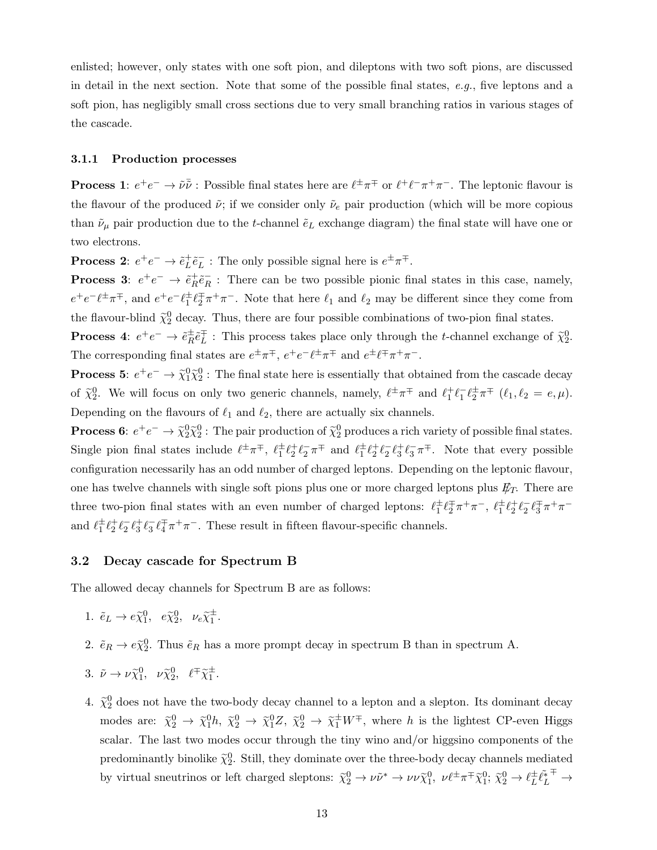enlisted; however, only states with one soft pion, and dileptons with two soft pions, are discussed in detail in the next section. Note that some of the possible final states, e.g., five leptons and a soft pion, has negligibly small cross sections due to very small branching ratios in various stages of the cascade.

#### 3.1.1 Production processes

**Process 1**:  $e^+e^- \to \tilde{\nu}\tilde{\nu}$  : Possible final states here are  $\ell^{\pm}\pi^{\mp}$  or  $\ell^+\ell^-\pi^+\pi^-$ . The leptonic flavour is the flavour of the produced  $\tilde{\nu}$ ; if we consider only  $\tilde{\nu}_e$  pair production (which will be more copious than  $\tilde{\nu}_{\mu}$  pair production due to the t-channel  $\tilde{e}_L$  exchange diagram) the final state will have one or two electrons.

Process 2:  $e^+e^- \rightarrow \tilde{e}_L^+$  $_{L}^{+}\tilde{e}_{L}^{-}$  $\bar{L}$ : The only possible signal here is  $e^{\pm} \pi^{\mp}$ .

Process 3:  $e^+e^- \rightarrow \tilde{e}_R^+$  $+ \tilde{e}_R^ R$ : There can be two possible pionic final states in this case, namely,  $e^+e^-\ell^{\pm}\pi^{\mp}$ , and  $e^+e^-\ell^{\pm}_1\ell^{\mp}_2\pi^+\pi^-$ . Note that here  $\ell_1$  and  $\ell_2$  may be different since they come from the flavour-blind  $\tilde{\chi}_2^0$  decay. Thus, there are four possible combinations of two-pion final states.

Process 4:  $e^+e^- \rightarrow \tilde{e}_R^{\pm}$  $\stackrel{\pm}{R}\tilde{e}_L^{\mp}$  $\bar{L}$ : This process takes place only through the *t*-channel exchange of  $\tilde{\chi}_2^0$ . The corresponding final states are  $e^{\pm}\pi^{\mp}$ ,  $e^+e^- \ell^{\pm}\pi^{\mp}$  and  $e^{\pm}\ell^{\mp}\pi^+\pi^-$ .

**Process 5:**  $e^+e^- \to \tilde{\chi}^0_1 \tilde{\chi}^0_2$ : The final state here is essentially that obtained from the cascade decay of  $\tilde{\chi}_2^0$ . We will focus on only two generic channels, namely,  $\ell^{\pm} \pi^{\mp}$  and  $\ell_1^{\pm} \ell_1^{-} \ell_2^{\pm} \pi^{\mp}$   $(\ell_1, \ell_2 = e, \mu)$ . Depending on the flavours of  $\ell_1$  and  $\ell_2$ , there are actually six channels.

**Process 6:**  $e^+e^- \to \tilde{\chi}_2^0 \tilde{\chi}_2^0$ : The pair production of  $\tilde{\chi}_2^0$  produces a rich variety of possible final states. Single pion final states include  $\ell^{\pm}\pi^{\mp}$ ,  $\ell_1^{\pm}\ell_2^{\pm}\ell_2^-\pi^{\mp}$  and  $\ell_1^{\pm}\ell_2^{\pm}\ell_2^-\ell_3^{\pm}\ell_3^-\pi^{\mp}$ . Note that every possible configuration necessarily has an odd number of charged leptons. Depending on the leptonic flavour, one has twelve channels with single soft pions plus one or more charged leptons plus  $E_T$ . There are three two-pion final states with an even number of charged leptons:  $\ell_1^{\pm} \ell_2^{\mp} \pi^+ \pi^-$ ,  $\ell_1^{\pm} \ell_2^+ \ell_2^- \ell_3^{\mp} \pi^+ \pi^$ and  $\ell_1^{\pm} \ell_2^{\pm} \ell_3^{\pm} \ell_3^{\pm} \ell_4^{\mp} \pi^+ \pi^-$ . These result in fifteen flavour-specific channels.

#### 3.2 Decay cascade for Spectrum B

The allowed decay channels for Spectrum B are as follows:

- 1.  $\tilde{e}_L \to e \tilde{\chi}_1^0$ ,  $e \tilde{\chi}_2^0$ ,  $\nu_e \tilde{\chi}_1^{\pm}$ .
- 2.  $\tilde{e}_R \to e \tilde{\chi}_2^0$ . Thus  $\tilde{e}_R$  has a more prompt decay in spectrum B than in spectrum A.
- 3.  $\tilde{\nu} \to \nu \tilde{\chi}_1^0$ ,  $\nu \tilde{\chi}_2^0$ ,  $\ell^{\pm} \tilde{\chi}_1^{\pm}$ .
- 4.  $\tilde{\chi}_2^0$  does not have the two-body decay channel to a lepton and a slepton. Its dominant decay modes are:  $\tilde{\chi}_2^0 \to \tilde{\chi}_1^0 h$ ,  $\tilde{\chi}_2^0 \to \tilde{\chi}_1^0 Z$ ,  $\tilde{\chi}_2^0 \to \tilde{\chi}_1^{\pm} W^{\mp}$ , where h is the lightest CP-even Higgs scalar. The last two modes occur through the tiny wino and/or higgsino components of the predominantly binolike  $\tilde{\chi}_2^0$ . Still, they dominate over the three-body decay channels mediated by virtual sneutrinos or left charged sleptons:  $\tilde{\chi}_2^0 \to \nu \tilde{\nu}^* \to \nu \nu \tilde{\chi}_1^0$ ,  $\nu \ell^{\pm} \pi^{\mp} \tilde{\chi}_1^0$ ;  $\tilde{\chi}_2^0 \to \ell_L^{\pm}$  $\pm \tilde{\ell_L^*}$ ∓  $\rightarrow$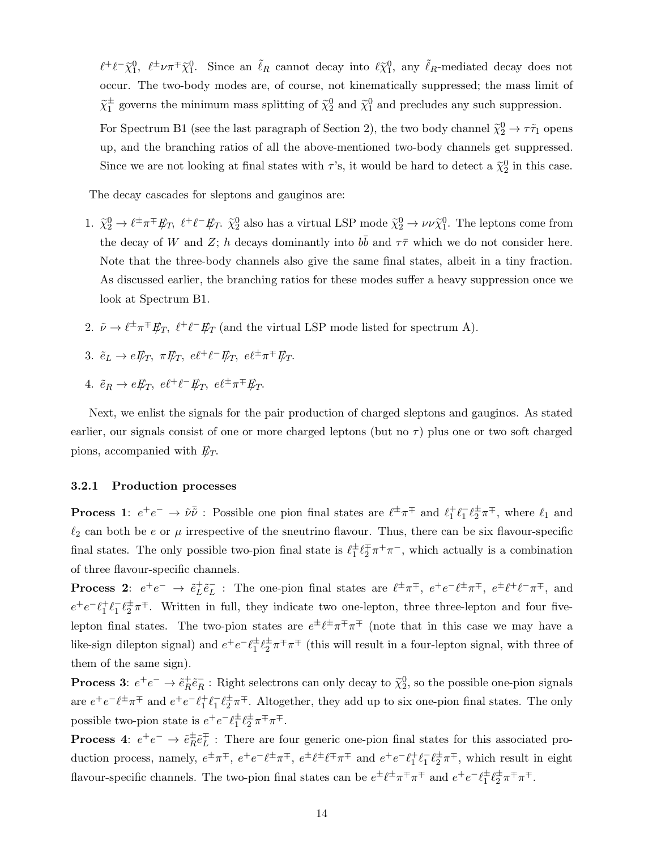$\ell^+\ell^-\tilde{\chi}_1^0$ ,  $\ell^{\pm}\nu\pi^{\mp}\tilde{\chi}_1^0$ . Since an  $\tilde{\ell}_R$  cannot decay into  $\ell\tilde{\chi}_1^0$ , any  $\tilde{\ell}_R$ -mediated decay does not occur. The two-body modes are, of course, not kinematically suppressed; the mass limit of  $\tilde{\chi}_1^{\pm}$  governs the minimum mass splitting of  $\tilde{\chi}_2^0$  and  $\tilde{\chi}_1^0$  and precludes any such suppression.

For Spectrum B1 (see the last paragraph of Section 2), the two body channel  $\tilde{\chi}_2^0 \to \tau \tilde{\tau}_1$  opens up, and the branching ratios of all the above-mentioned two-body channels get suppressed. Since we are not looking at final states with  $\tau$ 's, it would be hard to detect a  $\tilde{\chi}_2^0$  in this case.

The decay cascades for sleptons and gauginos are:

- 1.  $\tilde{\chi}_2^0 \to \ell^{\pm} \pi^{\mp} E_T$ ,  $\ell^{\pm} \ell^- E_T$ .  $\tilde{\chi}_2^0$  also has a virtual LSP mode  $\tilde{\chi}_2^0 \to \nu \nu \tilde{\chi}_1^0$ . The leptons come from the decay of W and Z; h decays dominantly into  $b\bar{b}$  and  $\tau\bar{\tau}$  which we do not consider here. Note that the three-body channels also give the same final states, albeit in a tiny fraction. As discussed earlier, the branching ratios for these modes suffer a heavy suppression once we look at Spectrum B1.
- 2.  $\tilde{\nu} \to \ell^{\pm} \pi^{\mp} E_T$ ,  $\ell^{\pm} \ell^- E_T$  (and the virtual LSP mode listed for spectrum A).
- 3.  $\tilde{e}_L \rightarrow e \not{E}_T$ ,  $\pi \not{E}_T$ ,  $e \ell^+ \ell^- \not{E}_T$ ,  $e \ell^{\pm} \pi^{\mp} \not{E}_T$ .
- 4.  $\tilde{e}_R \to e \rlap{\,/}E_T$ ,  $e \ell^+ \ell^- \rlap{\,/}E_T$ ,  $e \ell^{\pm} \pi^{\mp} \rlap{\,/}E_T$ .

Next, we enlist the signals for the pair production of charged sleptons and gauginos. As stated earlier, our signals consist of one or more charged leptons (but no  $\tau$ ) plus one or two soft charged pions, accompanied with  $E_T$ .

#### 3.2.1 Production processes

**Process 1**:  $e^+e^- \to \tilde{\nu}\tilde{\nu}$  : Possible one pion final states are  $\ell^{\pm}\pi^{\mp}$  and  $\ell_1^{\pm}\ell_1^{\pm}\ell_2^{\pm}\pi^{\mp}$ , where  $\ell_1$  and  $\ell_2$  can both be e or  $\mu$  irrespective of the sneutrino flavour. Thus, there can be six flavour-specific final states. The only possible two-pion final state is  $\ell_1^{\pm} \ell_2^{\mp} \pi^+ \pi^-$ , which actually is a combination of three flavour-specific channels.

**Process 2:**  $e^+e^- \rightarrow \tilde{e}_L^+$  ${}_{L}^{+}\tilde{e}_{L}^{-}$ : The one-pion final states are  $\ell^{\pm}\pi^{\mp}$ ,  $e^{+}e^{-}\ell^{\pm}\pi^{\mp}$ ,  $e^{\pm}\ell^{+}\ell^{-}\pi^{\mp}$ , and  $e^+e^-\ell_1^+\ell_1^-\ell_2^{\pm}\pi^{\mp}$ . Written in full, they indicate two one-lepton, three three-lepton and four fivelepton final states. The two-pion states are  $e^{\pm} \ell^{\pm} \pi^{\mp} \pi^{\mp}$  (note that in this case we may have a like-sign dilepton signal) and  $e^+e^-\ell_1^{\pm}\ell_2^{\pm}\pi^{\mp}\pi^{\mp}$  (this will result in a four-lepton signal, with three of them of the same sign).

Process 3:  $e^+e^- \rightarrow \tilde{e}_R^+$  $R^+ \tilde{e}^-_R$ : Right selectrons can only decay to  $\tilde{\chi}^0_2$ , so the possible one-pion signals are  $e^+e^-\ell^{\pm}\pi^{\mp}$  and  $e^+e^-\ell^{\pm}_1\ell^-_1\ell^{\pm}_2\pi^{\mp}$ . Altogether, they add up to six one-pion final states. The only possible two-pion state is  $e^+e^-\ell_1^{\pm}\ell_2^{\pm}\pi^{\mp}\pi^{\mp}$ .

**Process 4**:  $e^+e^- \rightarrow \tilde{e}_R^{\pm}$  $\stackrel{\pm}{R}\tilde{e}_L^{\mp}$  $\frac{1}{L}$ : There are four generic one-pion final states for this associated production process, namely,  $e^{\pm}\pi^{\mp}$ ,  $e^{\pm}e^{\pm}e^{\mp}\pi^{\mp}$ ,  $e^{\pm}\ell^{\pm}\ell^{\mp}\pi^{\mp}$  and  $e^+e^-\ell_1^{\pm}\ell_1^{\pm}\ell_2^{\pm}\pi^{\mp}$ , which result in eight flavour-specific channels. The two-pion final states can be  $e^{\pm} \ell^{\pm} \pi^{\mp} \pi^{\mp}$  and  $e^+ e^- \ell_1^{\pm} \ell_2^{\pm} \pi^{\mp} \pi^{\mp}$ .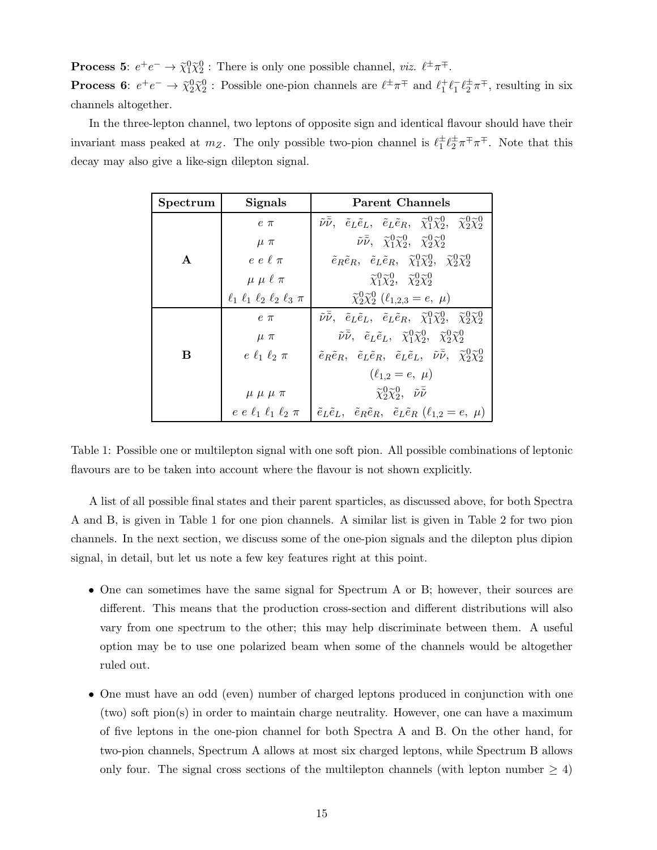**Process 5:**  $e^+e^- \to \tilde{\chi}_1^0 \tilde{\chi}_2^0$  : There is only one possible channel, *viz.*  $\ell^{\pm} \pi^{\mp}$ . **Process 6**:  $e^+e^- \to \tilde{\chi}_2^0 \tilde{\chi}_2^0$  : Possible one-pion channels are  $\ell^{\pm} \pi^{\mp}$  and  $\ell_1^{\pm} \ell_1^- \ell_2^{\pm} \pi^{\mp}$ , resulting in six channels altogether.

In the three-lepton channel, two leptons of opposite sign and identical flavour should have their invariant mass peaked at  $m_Z$ . The only possible two-pion channel is  $\ell_1^{\pm} \ell_2^{\pm} \pi^{\mp} \pi^{\mp}$ . Note that this decay may also give a like-sign dilepton signal.

| Spectrum     | Parent Channels<br><b>Signals</b>                                                                       |                                                                                                                                                                                      |  |  |  |  |
|--------------|---------------------------------------------------------------------------------------------------------|--------------------------------------------------------------------------------------------------------------------------------------------------------------------------------------|--|--|--|--|
|              | $e \pi$                                                                                                 | $\tilde{\nu} \overline{\tilde{\nu}}, \quad \tilde{e}_L \tilde{e}_L, \quad \tilde{e}_L \tilde{e}_R, \quad \tilde{\chi}_1^0 \tilde{\chi}_2^0, \quad \tilde{\chi}_2^0 \tilde{\chi}_2^0$ |  |  |  |  |
|              | $\mu \pi$                                                                                               | $\tilde{\nu} \overline{\tilde{\nu}}, \quad \tilde{\chi}_1^0 \tilde{\chi}_2^0, \quad \tilde{\chi}_2^0 \tilde{\chi}_2^0$                                                               |  |  |  |  |
| $\mathbf{A}$ | $e e \ell \pi$                                                                                          | $\tilde{e}_R \tilde{e}_R$ , $\tilde{e}_L \tilde{e}_R$ , $\tilde{\chi}^0_1 \tilde{\chi}^0_2$ , $\tilde{\chi}^0_2 \tilde{\chi}^0_2$                                                    |  |  |  |  |
|              | $\mu \mu \ell \pi$                                                                                      | $\widetilde{\chi}_1^0 \widetilde{\chi}_2^0$ , $\widetilde{\chi}_2^0 \widetilde{\chi}_2^0$                                                                                            |  |  |  |  |
|              | $\ell_1$ $\ell_1$ $\ell_2$ $\ell_2$ $\ell_3$ $\pi$                                                      | $\tilde{\chi}_2^0 \tilde{\chi}_2^0$ ( $\ell_{1,2,3} = e, \mu$ )                                                                                                                      |  |  |  |  |
|              | $e \pi$                                                                                                 | $\tilde{\nu} \overline{\tilde{\nu}}, \quad \tilde{e}_L \tilde{e}_L, \quad \tilde{e}_L \tilde{e}_R, \quad \tilde{\chi}_1^0 \tilde{\chi}_2^0, \quad \tilde{\chi}_2^0 \tilde{\chi}_2^0$ |  |  |  |  |
|              | $\mu \pi$                                                                                               | $\tilde{\nu} \overline{\tilde{\nu}}, \quad \tilde{e}_L \tilde{e}_L, \quad \tilde{\chi}^0_1 \tilde{\chi}^0_2, \quad \tilde{\chi}^0_2 \tilde{\chi}^0_2$                                |  |  |  |  |
| B            | $e \ell_1 \ell_2 \pi$                                                                                   | $\tilde{e}_R \tilde{e}_R$ , $\tilde{e}_L \tilde{e}_R$ , $\tilde{e}_L \tilde{e}_L$ , $\tilde{\nu} \overline{\tilde{\nu}}$ , $\tilde{\chi}_2^0 \tilde{\chi}_2^0$                       |  |  |  |  |
|              |                                                                                                         | $(\ell_{1,2}=e, \mu)$                                                                                                                                                                |  |  |  |  |
|              | $\widetilde{\chi}^0_2 \widetilde{\chi}^0_2$ , $\tilde{\nu} \overline{\tilde{\nu}}$<br>$\mu \mu \mu \pi$ |                                                                                                                                                                                      |  |  |  |  |
|              |                                                                                                         | $e e \ell_1 \ell_1 \ell_2 \pi$ $\phi_L \tilde{e}_L, \tilde{e}_R \tilde{e}_R, \tilde{e}_L \tilde{e}_R (\ell_{1,2} = e, \mu)$                                                          |  |  |  |  |

Table 1: Possible one or multilepton signal with one soft pion. All possible combinations of leptonic flavours are to be taken into account where the flavour is not shown explicitly.

A list of all possible final states and their parent sparticles, as discussed above, for both Spectra A and B, is given in Table 1 for one pion channels. A similar list is given in Table 2 for two pion channels. In the next section, we discuss some of the one-pion signals and the dilepton plus dipion signal, in detail, but let us note a few key features right at this point.

- One can sometimes have the same signal for Spectrum A or B; however, their sources are different. This means that the production cross-section and different distributions will also vary from one spectrum to the other; this may help discriminate between them. A useful option may be to use one polarized beam when some of the channels would be altogether ruled out.
- One must have an odd (even) number of charged leptons produced in conjunction with one (two) soft pion(s) in order to maintain charge neutrality. However, one can have a maximum of five leptons in the one-pion channel for both Spectra A and B. On the other hand, for two-pion channels, Spectrum A allows at most six charged leptons, while Spectrum B allows only four. The signal cross sections of the multilepton channels (with lepton number  $\geq 4$ )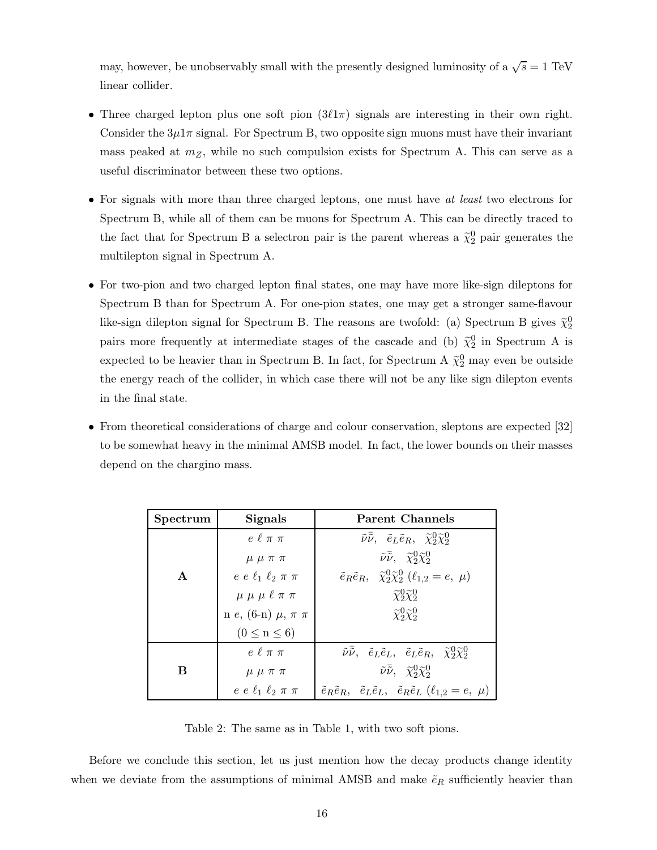may, however, be unobservably small with the presently designed luminosity of a  $\sqrt{s} = 1 \text{ TeV}$ linear collider.

- Three charged lepton plus one soft pion  $(3\ell 1\pi)$  signals are interesting in their own right. Consider the  $3\mu1\pi$  signal. For Spectrum B, two opposite sign muons must have their invariant mass peaked at  $m_Z$ , while no such compulsion exists for Spectrum A. This can serve as a useful discriminator between these two options.
- For signals with more than three charged leptons, one must have at least two electrons for Spectrum B, while all of them can be muons for Spectrum A. This can be directly traced to the fact that for Spectrum B a selectron pair is the parent whereas a  $\tilde{\chi}_2^0$  pair generates the multilepton signal in Spectrum A.
- For two-pion and two charged lepton final states, one may have more like-sign dileptons for Spectrum B than for Spectrum A. For one-pion states, one may get a stronger same-flavour like-sign dilepton signal for Spectrum B. The reasons are twofold: (a) Spectrum B gives  $\tilde{\chi}_2^0$ pairs more frequently at intermediate stages of the cascade and (b)  $\tilde{\chi}_2^0$  in Spectrum A is expected to be heavier than in Spectrum B. In fact, for Spectrum A  $\tilde{\chi}^0_2$  may even be outside the energy reach of the collider, in which case there will not be any like sign dilepton events in the final state.
- From theoretical considerations of charge and colour conservation, sleptons are expected [32] to be somewhat heavy in the minimal AMSB model. In fact, the lower bounds on their masses depend on the chargino mass.

| Spectrum     | <b>Signals</b>                 | Parent Channels                                                                                                                             |  |  |  |
|--------------|--------------------------------|---------------------------------------------------------------------------------------------------------------------------------------------|--|--|--|
|              | $e \ell \pi \pi$               | $\tilde{\nu} \overline{\tilde{\nu}}, \quad \tilde{e}_L \tilde{e}_R, \quad \tilde{\chi}^0_2 \tilde{\chi}^0_2$                                |  |  |  |
|              | $\mu \mu \pi \pi$              | $\tilde{\nu} \overline{\tilde{\nu}}, \quad \tilde{\chi}^0_2 \tilde{\chi}^0_2$                                                               |  |  |  |
| $\mathbf{A}$ | $e e \ell_1 \ell_2 \pi \pi$    | $\tilde{e}_R \tilde{e}_R$ , $\tilde{\chi}^0_2 \tilde{\chi}^0_2$ ( $\ell_{1,2} = e$ , $\mu$ )                                                |  |  |  |
|              | $\mu \mu \mu \ell \pi \pi$     | $\widetilde{\chi}^0_2 \widetilde{\chi}^0_2$                                                                                                 |  |  |  |
|              | n e, (6-n) $\mu$ , $\pi$ $\pi$ | $\widetilde{\chi}^0_2 \widetilde{\chi}^0_2$                                                                                                 |  |  |  |
|              | $(0 \leq n \leq 6)$            |                                                                                                                                             |  |  |  |
|              | $e \ell \pi \pi$               | $\tilde{\nu} \overline{\tilde{\nu}}, \quad \tilde{e}_L \tilde{e}_L, \quad \tilde{e}_L \tilde{e}_R, \quad \tilde{\chi}^0_2 \tilde{\chi}^0_2$ |  |  |  |
| в            | $\mu \mu \pi \pi$              | $\tilde{\nu} \overline{\tilde{\nu}}, \quad \widetilde{\chi}_2^0 \widetilde{\chi}_2^0$                                                       |  |  |  |
|              | $e e \ell_1 \ell_2 \pi \pi$    | $\tilde{e}_R \tilde{e}_R$ , $\tilde{e}_L \tilde{e}_L$ , $\tilde{e}_R \tilde{e}_L$ $(\ell_{1,2} = e, \mu)$                                   |  |  |  |

Table 2: The same as in Table 1, with two soft pions.

Before we conclude this section, let us just mention how the decay products change identity when we deviate from the assumptions of minimal AMSB and make  $\tilde{e}_R$  sufficiently heavier than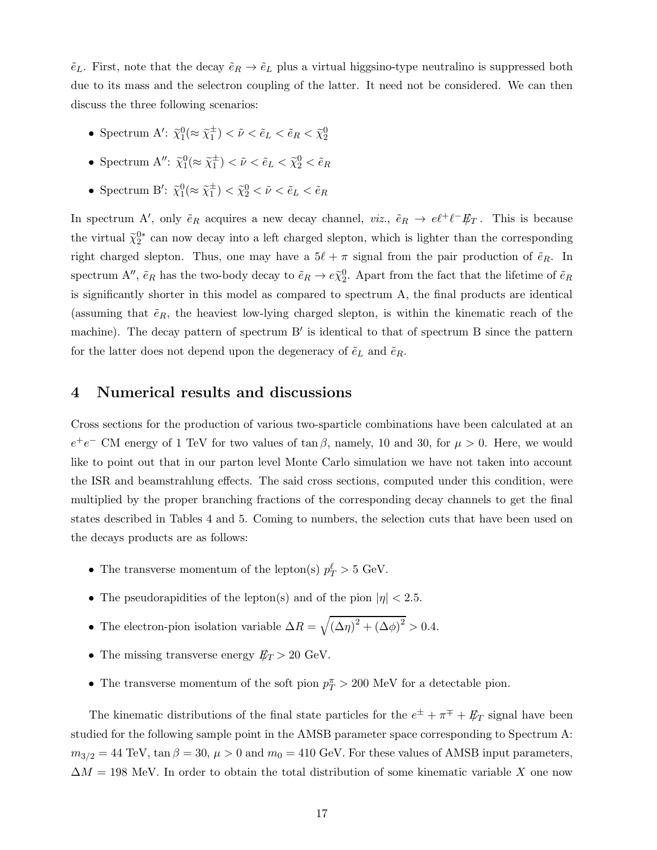$\tilde{e}_L$ . First, note that the decay  $\tilde{e}_R \to \tilde{e}_L$  plus a virtual higgsino-type neutralino is suppressed both due to its mass and the selectron coupling of the latter. It need not be considered. We can then discuss the three following scenarios:

- Spectrum A':  $\tilde{\chi}_1^0(\approx \tilde{\chi}_1^{\pm}) < \tilde{\nu} < \tilde{e}_L < \tilde{e}_R < \tilde{\chi}_2^0$
- Spectrum  $A''$ :  $\tilde{\chi}_1^0(\approx \tilde{\chi}_1^{\pm}) < \tilde{\nu} < \tilde{e}_L < \tilde{\chi}_2^0 < \tilde{e}_R$
- Spectrum B':  $\tilde{\chi}_1^0(\approx \tilde{\chi}_1^{\pm}) < \tilde{\chi}_2^0 < \tilde{\nu} < \tilde{e}_L < \tilde{e}_R$

In spectrum A', only  $\tilde{e}_R$  acquires a new decay channel, viz.,  $\tilde{e}_R \to e\ell^+\ell^- E_T$ . This is because the virtual  $\tilde{\chi}_2^{0*}$  can now decay into a left charged slepton, which is lighter than the corresponding right charged slepton. Thus, one may have a  $5\ell + \pi$  signal from the pair production of  $\tilde{e}_R$ . In spectrum A'',  $\tilde{e}_R$  has the two-body decay to  $\tilde{e}_R \to e \tilde{\chi}_2^0$ . Apart from the fact that the lifetime of  $\tilde{e}_R$ is significantly shorter in this model as compared to spectrum A, the final products are identical (assuming that  $\tilde{e}_R$ , the heaviest low-lying charged slepton, is within the kinematic reach of the machine). The decay pattern of spectrum B' is identical to that of spectrum B since the pattern for the latter does not depend upon the degeneracy of  $\tilde{e}_L$  and  $\tilde{e}_R$ .

### 4 Numerical results and discussions

Cross sections for the production of various two-sparticle combinations have been calculated at an  $e^+e^-$  CM energy of 1 TeV for two values of tan  $\beta$ , namely, 10 and 30, for  $\mu > 0$ . Here, we would like to point out that in our parton level Monte Carlo simulation we have not taken into account the ISR and beamstrahlung effects. The said cross sections, computed under this condition, were multiplied by the proper branching fractions of the corresponding decay channels to get the final states described in Tables 4 and 5. Coming to numbers, the selection cuts that have been used on the decays products are as follows:

- The transverse momentum of the lepton(s)  $p_T^{\ell} > 5$  GeV.
- The pseudorapidities of the lepton(s) and of the pion  $|\eta| < 2.5$ .
- The electron-pion isolation variable  $\Delta R = \sqrt{(\Delta \eta)^2 + (\Delta \phi)^2} > 0.4$ .
- The missing transverse energy  $E_T > 20$  GeV.
- The transverse momentum of the soft pion  $p_T^{\pi} > 200$  MeV for a detectable pion.

The kinematic distributions of the final state particles for the  $e^{\pm} + \pi^{\mp} + \not{E}_T$  signal have been studied for the following sample point in the AMSB parameter space corresponding to Spectrum A:  $m_{3/2} = 44$  TeV,  $\tan \beta = 30$ ,  $\mu > 0$  and  $m_0 = 410$  GeV. For these values of AMSB input parameters,  $\Delta M = 198$  MeV. In order to obtain the total distribution of some kinematic variable X one now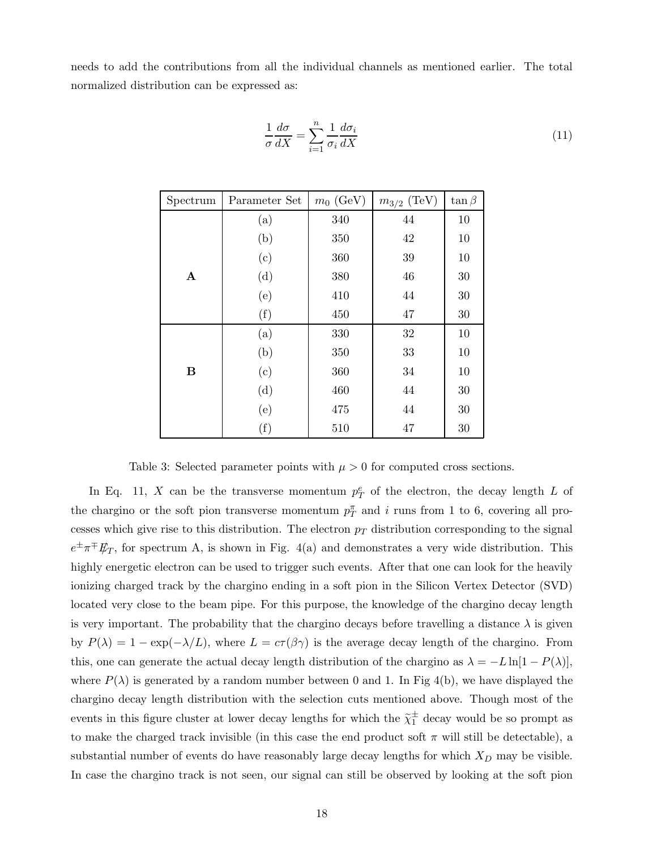needs to add the contributions from all the individual channels as mentioned earlier. The total normalized distribution can be expressed as:

$$
\frac{1}{\sigma} \frac{d\sigma}{dX} = \sum_{i=1}^{n} \frac{1}{\sigma_i} \frac{d\sigma_i}{dX}
$$
\n(11)

| Spectrum    | Parameter Set | $m_0$ (GeV) | $m_{3/2}$ (TeV) | $\tan \beta$ |
|-------------|---------------|-------------|-----------------|--------------|
|             | (a)           | 340         | 44              | 10           |
|             | (b)           | 350         | 42              | 10           |
|             | (c)           | 360         | 39              | 10           |
| $\mathbf A$ | (d)           | $380\,$     | 46              | 30           |
|             | (e)           | 410         | 44              | 30           |
|             | (f)           | 450         | 47              | 30           |
|             | (a)           | 330         | 32              | 10           |
|             | (b)           | 350         | 33              | 10           |
| $\bf{B}$    | (c)           | 360         | 34              | 10           |
|             | (d)           | 460         | 44              | 30           |
|             | (e)           | 475         | 44              | 30           |
|             | (f)           | 510         | 47              | 30           |

Table 3: Selected parameter points with  $\mu > 0$  for computed cross sections.

In Eq. 11, X can be the transverse momentum  $p_T^e$  of the electron, the decay length L of the chargino or the soft pion transverse momentum  $p_T^{\pi}$  and i runs from 1 to 6, covering all processes which give rise to this distribution. The electron  $p<sub>T</sub>$  distribution corresponding to the signal  $e^{\pm} \pi^{\mp} E_T$ , for spectrum A, is shown in Fig. 4(a) and demonstrates a very wide distribution. This highly energetic electron can be used to trigger such events. After that one can look for the heavily ionizing charged track by the chargino ending in a soft pion in the Silicon Vertex Detector (SVD) located very close to the beam pipe. For this purpose, the knowledge of the chargino decay length is very important. The probability that the chargino decays before travelling a distance  $\lambda$  is given by  $P(\lambda) = 1 - \exp(-\lambda/L)$ , where  $L = c\tau(\beta\gamma)$  is the average decay length of the chargino. From this, one can generate the actual decay length distribution of the chargino as  $\lambda = -L\ln[1 - P(\lambda)],$ where  $P(\lambda)$  is generated by a random number between 0 and 1. In Fig 4(b), we have displayed the chargino decay length distribution with the selection cuts mentioned above. Though most of the events in this figure cluster at lower decay lengths for which the  $\tilde{\chi}_1^{\pm}$  decay would be so prompt as to make the charged track invisible (in this case the end product soft  $\pi$  will still be detectable), a substantial number of events do have reasonably large decay lengths for which  $X_D$  may be visible. In case the chargino track is not seen, our signal can still be observed by looking at the soft pion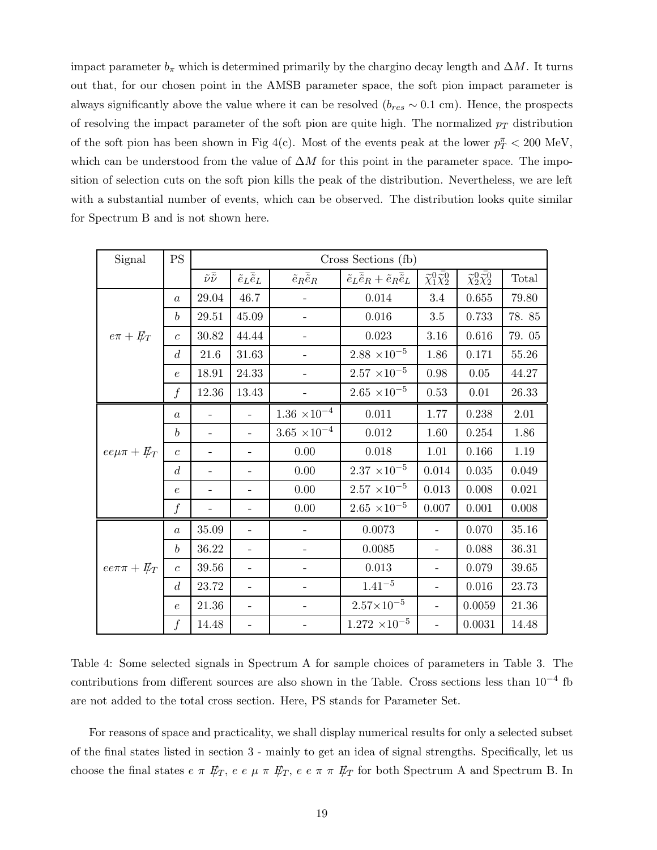impact parameter  $b_{\pi}$  which is determined primarily by the chargino decay length and  $\Delta M$ . It turns out that, for our chosen point in the AMSB parameter space, the soft pion impact parameter is always significantly above the value where it can be resolved ( $b_{res} \sim 0.1$  cm). Hence, the prospects of resolving the impact parameter of the soft pion are quite high. The normalized  $p_T$  distribution of the soft pion has been shown in Fig 4(c). Most of the events peak at the lower  $p_T^{\pi} < 200 \text{ MeV}$ , which can be understood from the value of  $\Delta M$  for this point in the parameter space. The imposition of selection cuts on the soft pion kills the peak of the distribution. Nevertheless, we are left with a substantial number of events, which can be observed. The distribution looks quite similar for Spectrum B and is not shown here.

| Signal                                          | <b>PS</b>        | Cross Sections (fb)            |                              |                               |                                                                |                                                  |                                                  |           |
|-------------------------------------------------|------------------|--------------------------------|------------------------------|-------------------------------|----------------------------------------------------------------|--------------------------------------------------|--------------------------------------------------|-----------|
|                                                 |                  | $\tilde{\nu}\bar{\tilde{\nu}}$ | $\tilde e_L\bar{\tilde e}_L$ | $\tilde e_R \bar{\tilde e}_R$ | $\tilde{e}_L \overline{\tilde{e}}_R + \tilde{e}_R \tilde{e}_L$ | $\widetilde{\chi}^0_1\bar{\widetilde{\chi}^0_2}$ | $\widetilde{\chi}^0_2\bar{\widetilde{\chi}^0_2}$ | Total     |
| 46.7<br>29.04<br>$\boldsymbol{a}$               |                  |                                | 0.014                        | $3.4\,$                       | 0.655                                                          | 79.80                                            |                                                  |           |
|                                                 | $\boldsymbol{b}$ | 29.51                          | 45.09                        |                               | 0.016                                                          | $3.5\,$                                          | 0.733                                            | 78.85     |
| $e\pi + E_T$                                    | $\overline{c}$   | 30.82                          | 44.44                        |                               | 0.023                                                          | $3.16\,$                                         | 0.616                                            | 79.05     |
|                                                 | $\boldsymbol{d}$ | 21.6                           | 31.63                        |                               | $2.88 \times 10^{-5}$                                          | 1.86                                             | 0.171                                            | $55.26\,$ |
|                                                 | $\epsilon$       | 18.91                          | $24.33\,$                    |                               | $2.57 \times 10^{-5}$                                          | $0.98\,$                                         | 0.05                                             | 44.27     |
|                                                 | $\overline{f}$   | 12.36                          | 13.43                        |                               | $2.65 \times 10^{-5}$                                          | 0.53                                             | 0.01                                             | 26.33     |
|                                                 | $\boldsymbol{a}$ |                                | $\overline{\phantom{0}}$     | $1.36\ \times\!10^{-4}$       | 0.011                                                          | 1.77                                             | 0.238                                            | $2.01\,$  |
|                                                 | $\boldsymbol{b}$ |                                | $\overline{\phantom{0}}$     | $3.65 \times 10^{-4}$         | $0.012\,$                                                      | $1.60\,$                                         | 0.254                                            | 1.86      |
| $ee\mu\pi + E_T$                                | $\overline{c}$   |                                |                              | 0.00                          | $0.018\,$                                                      | 1.01                                             | 0.166                                            | 1.19      |
|                                                 | $\boldsymbol{d}$ |                                |                              | 0.00                          | $2.37 \times 10^{-5}$                                          | 0.014                                            | 0.035                                            | 0.049     |
|                                                 | $\epsilon$       |                                |                              | 0.00                          | $2.57 \times 10^{-5}$                                          | 0.013                                            | $0.008\,$                                        | 0.021     |
|                                                 | $\boldsymbol{f}$ |                                |                              | 0.00                          | $2.65 \times 10^{-5}$                                          | 0.007                                            | 0.001                                            | 0.008     |
| $35.09\,$<br>$\boldsymbol{a}$<br>$\overline{a}$ |                  |                                | 0.0073                       |                               | 0.070                                                          | 35.16                                            |                                                  |           |
|                                                 | $\boldsymbol{b}$ | 36.22                          | $\overline{\phantom{0}}$     | $\overline{\phantom{0}}$      | 0.0085                                                         | $\qquad \qquad -$                                | 0.088                                            | 36.31     |
| $ee\pi\pi + E_T$                                | $\overline{c}$   | $39.56\,$                      | $\overline{\phantom{0}}$     | $\qquad \qquad -$             | 0.013                                                          | $\overline{\phantom{0}}$                         | 0.079                                            | 39.65     |
|                                                 | d                | 23.72                          |                              |                               | $1.41^{-5}$                                                    |                                                  | 0.016                                            | 23.73     |
|                                                 | $\epsilon$       | 21.36                          |                              |                               | $2.57{\times}10^{-5}$                                          |                                                  | 0.0059                                           | 21.36     |
|                                                 | f                | 14.48                          |                              |                               | $1.272 \times 10^{-5}$                                         |                                                  | 0.0031                                           | 14.48     |

Table 4: Some selected signals in Spectrum A for sample choices of parameters in Table 3. The contributions from different sources are also shown in the Table. Cross sections less than 10−<sup>4</sup> fb are not added to the total cross section. Here, PS stands for Parameter Set.

For reasons of space and practicality, we shall display numerical results for only a selected subset of the final states listed in section 3 - mainly to get an idea of signal strengths. Specifically, let us choose the final states  $e \pi \not\!\! E_T$ ,  $e \ e \mu \pi \not\!\! E_T$ ,  $e \ e \pi \pi \not\!\! E_T$  for both Spectrum A and Spectrum B. In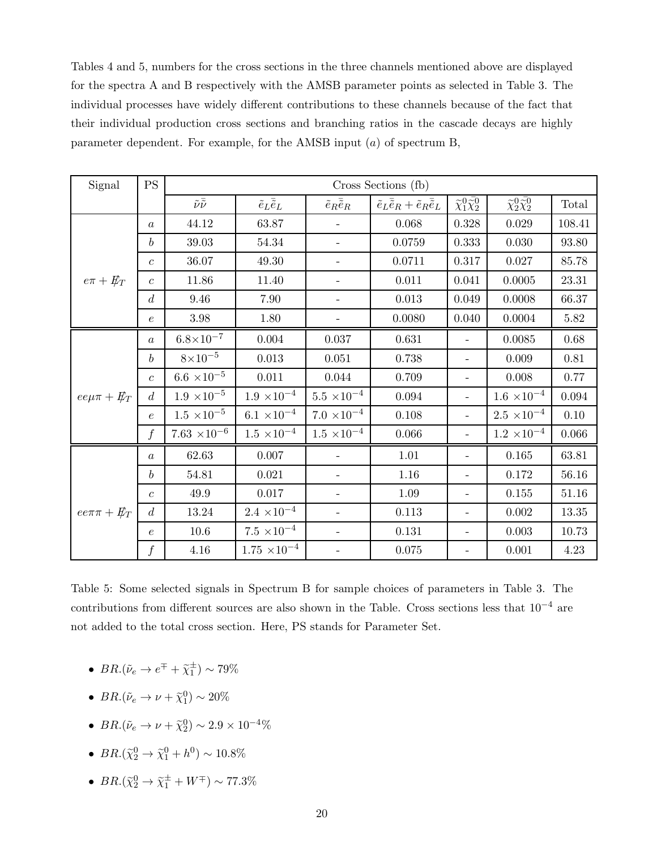Tables 4 and 5, numbers for the cross sections in the three channels mentioned above are displayed for the spectra A and B respectively with the AMSB parameter points as selected in Table 3. The individual processes have widely different contributions to these channels because of the fact that their individual production cross sections and branching ratios in the cascade decays are highly parameter dependent. For example, for the AMSB input  $(a)$  of spectrum B,

| Signal           | <b>PS</b>        | Cross Sections (fb)            |                              |                               |                                                                           |                                                  |                                            |             |
|------------------|------------------|--------------------------------|------------------------------|-------------------------------|---------------------------------------------------------------------------|--------------------------------------------------|--------------------------------------------|-------------|
|                  |                  | $\tilde{\nu}\bar{\tilde{\nu}}$ | $\tilde e_L\bar{\tilde e}_L$ | $\tilde e_R \bar{\tilde e}_R$ | $\tilde{e}_L \overline{\tilde{e}}_R + \tilde{e}_R \overline{\tilde{e}}_L$ | $\widetilde{\chi}^0_1\bar{\widetilde{\chi}^0_2}$ | $\widetilde{\chi}^0_2\widetilde{\chi}^0_2$ | Total       |
|                  | $\boldsymbol{a}$ | 44.12                          | 63.87                        |                               | 0.068                                                                     | 0.328                                            | 0.029                                      | 108.41      |
|                  | $\boldsymbol{b}$ | 39.03                          | 54.34                        |                               | 0.0759                                                                    | 0.333                                            | 0.030                                      | 93.80       |
|                  | $\overline{c}$   | 36.07                          | 49.30                        |                               | 0.0711                                                                    | 0.317                                            | 0.027                                      | 85.78       |
| $e\pi + E_T$     | $\overline{c}$   | 11.86                          | 11.40                        |                               | 0.011                                                                     | 0.041                                            | 0.0005                                     | 23.31       |
|                  | d                | 9.46                           | 7.90                         |                               | 0.013                                                                     | 0.049                                            | 0.0008                                     | 66.37       |
|                  | $\epsilon$       | $3.98\,$                       | 1.80                         |                               | 0.0080                                                                    | 0.040                                            | 0.0004                                     | $5.82\,$    |
|                  | $\boldsymbol{a}$ | $6.8 \times 10^{-7}$           | 0.004                        | 0.037                         | 0.631                                                                     | $\equiv$                                         | 0.0085                                     | $0.68\,$    |
|                  | $\boldsymbol{b}$ | $8\times10^{-5}$               | 0.013                        | 0.051                         | 0.738                                                                     | $\overline{\phantom{a}}$                         | 0.009                                      | $0.81\,$    |
|                  | $\overline{c}$   | $6.6 \times 10^{-5}$           | $0.011\,$                    | 0.044                         | 0.709                                                                     | $\overline{\phantom{m}}$                         | 0.008                                      | 0.77        |
| $ee\mu\pi + E_T$ | $d_{\cdot}$      | $1.9\ \times 10^{-5}$          | $1.9 \times 10^{-4}$         | $5.5 \times 10^{-4}$          | 0.094                                                                     | $\overline{a}$                                   | $1.6 \times 10^{-4}$                       | $\,0.094\,$ |
|                  | $\epsilon$       | $1.5 \times 10^{-5}$           | $6.1 \times 10^{-4}$         | $7.0 \times 10^{-4}$          | 0.108                                                                     | $\overline{a}$                                   | $2.5 \times 10^{-4}$                       | 0.10        |
|                  | $\boldsymbol{f}$ | $7.63 \times 10^{-6}$          | $1.5 \times 10^{-4}$         | $1.5 \times 10^{-4}$          | 0.066                                                                     | $\blacksquare$                                   | $1.2 \times 10^{-4}$                       | 0.066       |
|                  | $\overline{a}$   | 62.63                          | 0.007                        |                               | 1.01                                                                      | $\equiv$                                         | 0.165                                      | 63.81       |
|                  | $\boldsymbol{b}$ | 54.81                          | 0.021                        |                               | 1.16                                                                      | $\qquad \qquad -$                                | 0.172                                      | 56.16       |
|                  | $\mathcal{C}$    | 49.9                           | $0.017\,$                    |                               | 1.09                                                                      | $\overline{\phantom{a}}$                         | $0.155\,$                                  | $51.16\,$   |
| $ee\pi\pi + E_T$ | $\overline{d}$   | 13.24                          | $2.4 \times 10^{-4}$         |                               | 0.113                                                                     | $\overline{\phantom{0}}$                         | $0.002\,$                                  | 13.35       |
|                  | $\epsilon$       | $10.6\,$                       | $7.5 \times 10^{-4}$         |                               | $0.131\,$                                                                 | $\overline{\phantom{0}}$                         | 0.003                                      | 10.73       |
|                  | $\boldsymbol{f}$ | $4.16\,$                       | $1.75 \times 10^{-4}$        |                               | 0.075                                                                     |                                                  | 0.001                                      | 4.23        |

Table 5: Some selected signals in Spectrum B for sample choices of parameters in Table 3. The contributions from different sources are also shown in the Table. Cross sections less that  $10^{-4}$  are not added to the total cross section. Here, PS stands for Parameter Set.

- $BR.(\tilde{\nu}_e \rightarrow e^{\mp} + \tilde{\chi}_1^{\pm}) \sim 79\%$
- $BR.(\tilde{\nu}_e \rightarrow \nu + \tilde{\chi}_1^0) \sim 20\%$
- $BR.(\tilde{\nu}_e \to \nu + \tilde{\chi}_2^0) \sim 2.9 \times 10^{-4} \%$
- $BR.(\tilde{\chi}_2^0 \to \tilde{\chi}_1^0 + h^0) \sim 10.8\%$
- $BR.(\tilde{\chi}_2^0 \rightarrow \tilde{\chi}_1^{\pm} + W^{\mp}) \sim 77.3\%$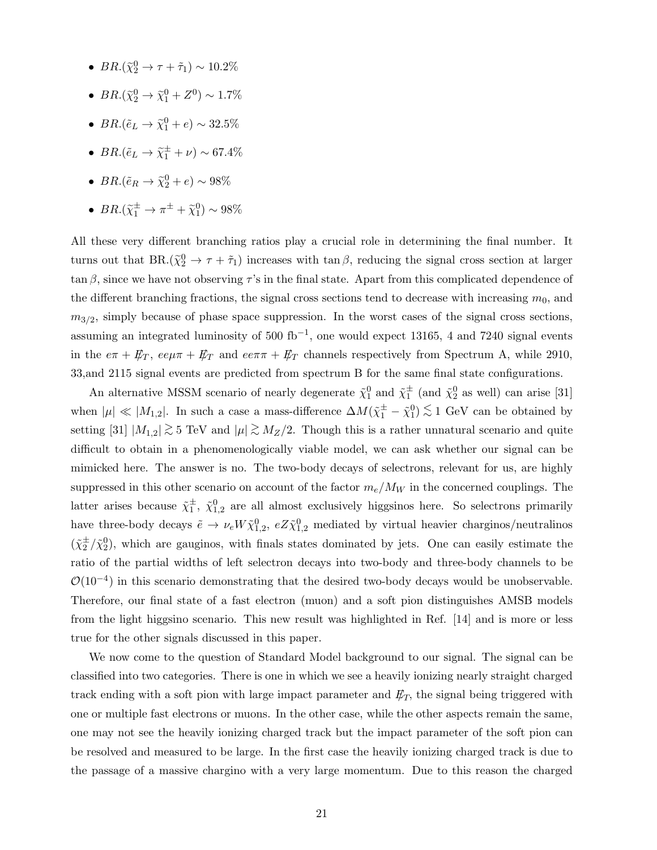- $BR.(\tilde{\chi}_2^0 \rightarrow \tau + \tilde{\tau}_1) \sim 10.2\%$
- $BR.(\tilde{\chi}_2^0 \to \tilde{\chi}_1^0 + Z^0) \sim 1.7\%$
- $BR.(\tilde{e}_L \to \tilde{\chi}_1^0 + e) \sim 32.5\%$
- $BR.(\tilde{e}_L \to \tilde{\chi}_1^{\pm} + \nu) \sim 67.4\%$
- $BR.(\tilde{e}_R \to \tilde{\chi}^0_2 + e) \sim 98\%$
- $BR.(\tilde{\chi}_1^{\pm} \to \pi^{\pm} + \tilde{\chi}_1^0) \sim 98\%$

All these very different branching ratios play a crucial role in determining the final number. It turns out that  $BR(\tilde{\chi}^0_2 \to \tau + \tilde{\tau}_1)$  increases with  $\tan \beta$ , reducing the signal cross section at larger  $\tan \beta$ , since we have not observing  $\tau$ 's in the final state. Apart from this complicated dependence of the different branching fractions, the signal cross sections tend to decrease with increasing  $m_0$ , and  $m_{3/2}$ , simply because of phase space suppression. In the worst cases of the signal cross sections, assuming an integrated luminosity of 500 fb<sup>-1</sup>, one would expect 13165, 4 and 7240 signal events in the  $e\pi + \not{E}_T$ ,  $e e \mu \pi + \not{E}_T$  and  $e e \pi \pi + \not{E}_T$  channels respectively from Spectrum A, while 2910, 33,and 2115 signal events are predicted from spectrum B for the same final state configurations.

An alternative MSSM scenario of nearly degenerate  $\tilde{\chi}_1^0$  and  $\tilde{\chi}_1^{\pm}$  (and  $\tilde{\chi}_2^0$  as well) can arise [31] when  $|\mu| \ll |M_{1,2}|$ . In such a case a mass-difference  $\Delta M(\tilde{\chi}_1^{\pm} - \tilde{\chi}_1^0) \lesssim 1$  GeV can be obtained by setting [31]  $|M_{1,2}| \gtrsim 5$  TeV and  $|\mu| \gtrsim M_Z/2$ . Though this is a rather unnatural scenario and quite difficult to obtain in a phenomenologically viable model, we can ask whether our signal can be mimicked here. The answer is no. The two-body decays of selectrons, relevant for us, are highly suppressed in this other scenario on account of the factor  $m_e/M_W$  in the concerned couplings. The latter arises because  $\tilde{\chi}_1^{\pm}$ ,  $\tilde{\chi}_{1,2}^0$  are all almost exclusively higgsinos here. So selectrons primarily have three-body decays  $\tilde{e} \to \nu_e W \tilde{\chi}_{1,2}^0$ ,  $eZ \tilde{\chi}_{1,2}^0$  mediated by virtual heavier charginos/neutralinos  $({\tilde\chi}_2^\pm/{\tilde\chi}_2^0)$ , which are gauginos, with finals states dominated by jets. One can easily estimate the ratio of the partial widths of left selectron decays into two-body and three-body channels to be  $\mathcal{O}(10^{-4})$  in this scenario demonstrating that the desired two-body decays would be unobservable. Therefore, our final state of a fast electron (muon) and a soft pion distinguishes AMSB models from the light higgsino scenario. This new result was highlighted in Ref. [14] and is more or less true for the other signals discussed in this paper.

We now come to the question of Standard Model background to our signal. The signal can be classified into two categories. There is one in which we see a heavily ionizing nearly straight charged track ending with a soft pion with large impact parameter and  $E_T$ , the signal being triggered with one or multiple fast electrons or muons. In the other case, while the other aspects remain the same, one may not see the heavily ionizing charged track but the impact parameter of the soft pion can be resolved and measured to be large. In the first case the heavily ionizing charged track is due to the passage of a massive chargino with a very large momentum. Due to this reason the charged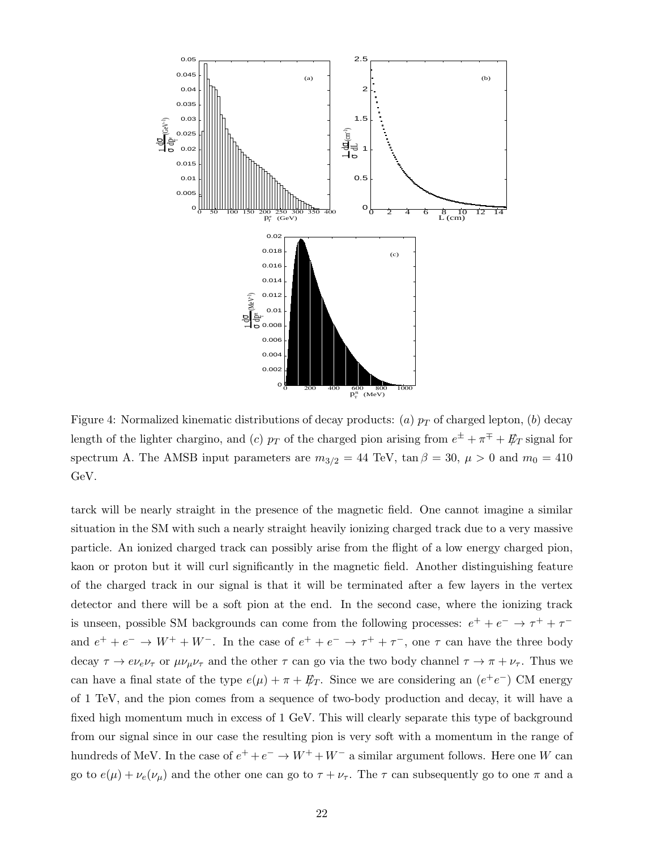

Figure 4: Normalized kinematic distributions of decay products: (a)  $p<sub>T</sub>$  of charged lepton, (b) decay length of the lighter chargino, and (c)  $p_T$  of the charged pion arising from  $e^{\pm} + \pi^{\mp} + \not{E}_T$  signal for spectrum A. The AMSB input parameters are  $m_{3/2} = 44$  TeV, tan  $\beta = 30$ ,  $\mu > 0$  and  $m_0 = 410$ GeV.

tarck will be nearly straight in the presence of the magnetic field. One cannot imagine a similar situation in the SM with such a nearly straight heavily ionizing charged track due to a very massive particle. An ionized charged track can possibly arise from the flight of a low energy charged pion, kaon or proton but it will curl significantly in the magnetic field. Another distinguishing feature of the charged track in our signal is that it will be terminated after a few layers in the vertex detector and there will be a soft pion at the end. In the second case, where the ionizing track is unseen, possible SM backgrounds can come from the following processes:  $e^+ + e^- \rightarrow \tau^+ + \tau^$ and  $e^+ + e^- \rightarrow W^+ + W^-$ . In the case of  $e^+ + e^- \rightarrow \tau^+ + \tau^-$ , one  $\tau$  can have the three body decay  $\tau \to e\nu_e\nu_\tau$  or  $\mu\nu_\mu\nu_\tau$  and the other  $\tau$  can go via the two body channel  $\tau \to \pi + \nu_\tau$ . Thus we can have a final state of the type  $e(\mu) + \pi + \not{E}_T$ . Since we are considering an  $(e^+e^-)$  CM energy of 1 TeV, and the pion comes from a sequence of two-body production and decay, it will have a fixed high momentum much in excess of 1 GeV. This will clearly separate this type of background from our signal since in our case the resulting pion is very soft with a momentum in the range of hundreds of MeV. In the case of  $e^+ + e^- \rightarrow W^+ + W^-$  a similar argument follows. Here one W can go to  $e(\mu) + \nu_e(\nu_\mu)$  and the other one can go to  $\tau + \nu_\tau$ . The  $\tau$  can subsequently go to one  $\pi$  and a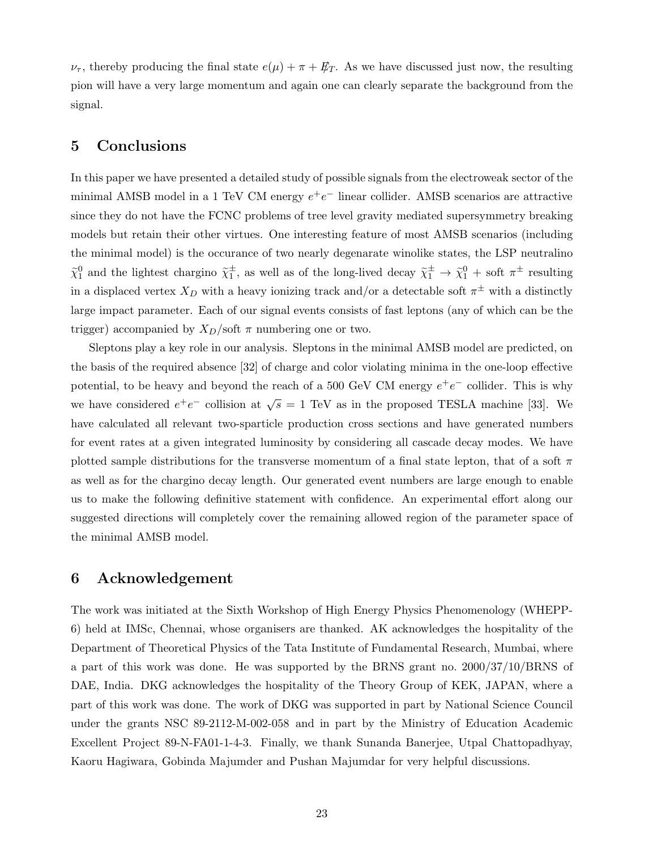$\nu_{\tau}$ , thereby producing the final state  $e(\mu) + \pi + \not{E}_T$ . As we have discussed just now, the resulting pion will have a very large momentum and again one can clearly separate the background from the signal.

# 5 Conclusions

In this paper we have presented a detailed study of possible signals from the electroweak sector of the minimal AMSB model in a 1 TeV CM energy  $e^+e^-$  linear collider. AMSB scenarios are attractive since they do not have the FCNC problems of tree level gravity mediated supersymmetry breaking models but retain their other virtues. One interesting feature of most AMSB scenarios (including the minimal model) is the occurance of two nearly degenarate winolike states, the LSP neutralino  $\tilde{\chi}_1^0$  and the lightest chargino  $\tilde{\chi}_1^{\pm}$ , as well as of the long-lived decay  $\tilde{\chi}_1^{\pm} \to \tilde{\chi}_1^0$  + soft  $\pi^{\pm}$  resulting in a displaced vertex  $X_D$  with a heavy ionizing track and/or a detectable soft  $\pi^{\pm}$  with a distinctly large impact parameter. Each of our signal events consists of fast leptons (any of which can be the trigger) accompanied by  $X_D/\text{soft } \pi$  numbering one or two.

Sleptons play a key role in our analysis. Sleptons in the minimal AMSB model are predicted, on the basis of the required absence [32] of charge and color violating minima in the one-loop effective potential, to be heavy and beyond the reach of a 500 GeV CM energy  $e^+e^-$  collider. This is why we have considered  $e^+e^-$  collision at  $\sqrt{s} = 1$  TeV as in the proposed TESLA machine [33]. We have calculated all relevant two-sparticle production cross sections and have generated numbers for event rates at a given integrated luminosity by considering all cascade decay modes. We have plotted sample distributions for the transverse momentum of a final state lepton, that of a soft  $\pi$ as well as for the chargino decay length. Our generated event numbers are large enough to enable us to make the following definitive statement with confidence. An experimental effort along our suggested directions will completely cover the remaining allowed region of the parameter space of the minimal AMSB model.

### 6 Acknowledgement

The work was initiated at the Sixth Workshop of High Energy Physics Phenomenology (WHEPP-6) held at IMSc, Chennai, whose organisers are thanked. AK acknowledges the hospitality of the Department of Theoretical Physics of the Tata Institute of Fundamental Research, Mumbai, where a part of this work was done. He was supported by the BRNS grant no. 2000/37/10/BRNS of DAE, India. DKG acknowledges the hospitality of the Theory Group of KEK, JAPAN, where a part of this work was done. The work of DKG was supported in part by National Science Council under the grants NSC 89-2112-M-002-058 and in part by the Ministry of Education Academic Excellent Project 89-N-FA01-1-4-3. Finally, we thank Sunanda Banerjee, Utpal Chattopadhyay, Kaoru Hagiwara, Gobinda Majumder and Pushan Majumdar for very helpful discussions.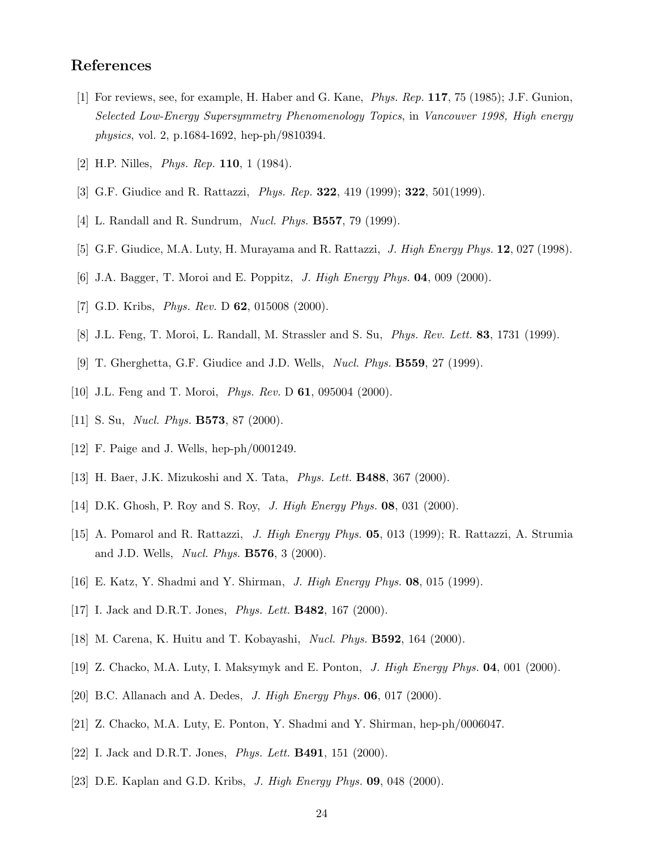### References

- [1] For reviews, see, for example, H. Haber and G. Kane, Phys. Rep. 117, 75 (1985); J.F. Gunion, Selected Low-Energy Supersymmetry Phenomenology Topics, in Vancouver 1998, High energy physics, vol. 2, p.1684-1692, hep-ph/9810394.
- [2] H.P. Nilles, *Phys. Rep.* **110**, 1 (1984).
- [3] G.F. Giudice and R. Rattazzi, Phys. Rep. 322, 419 (1999); 322, 501(1999).
- [4] L. Randall and R. Sundrum, *Nucl. Phys.* **B557**, 79 (1999).
- [5] G.F. Giudice, M.A. Luty, H. Murayama and R. Rattazzi, J. High Energy Phys. 12, 027 (1998).
- [6] J.A. Bagger, T. Moroi and E. Poppitz, J. High Energy Phys. 04, 009 (2000).
- [7] G.D. Kribs, *Phys. Rev. D* **62**, 015008 (2000).
- [8] J.L. Feng, T. Moroi, L. Randall, M. Strassler and S. Su, *Phys. Rev. Lett.* **83**, 1731 (1999).
- [9] T. Gherghetta, G.F. Giudice and J.D. Wells, Nucl. Phys. B559, 27 (1999).
- [10] J.L. Feng and T. Moroi, *Phys. Rev.* D **61**, 095004 (2000).
- [11] S. Su, *Nucl. Phys.* **B573**, 87 (2000).
- [12] F. Paige and J. Wells, hep-ph/0001249.
- [13] H. Baer, J.K. Mizukoshi and X. Tata, Phys. Lett. B488, 367 (2000).
- [14] D.K. Ghosh, P. Roy and S. Roy, *J. High Energy Phys.* **08**, 031 (2000).
- [15] A. Pomarol and R. Rattazzi, J. High Energy Phys. 05, 013 (1999); R. Rattazzi, A. Strumia and J.D. Wells, *Nucl. Phys.* **B576**, 3 (2000).
- [16] E. Katz, Y. Shadmi and Y. Shirman, J. High Energy Phys. 08, 015 (1999).
- [17] I. Jack and D.R.T. Jones, *Phys. Lett.* **B482**, 167 (2000).
- [18] M. Carena, K. Huitu and T. Kobayashi, Nucl. Phys. B592, 164 (2000).
- [19] Z. Chacko, M.A. Luty, I. Maksymyk and E. Ponton, J. High Energy Phys. 04, 001 (2000).
- [20] B.C. Allanach and A. Dedes, J. High Energy Phys. 06, 017 (2000).
- [21] Z. Chacko, M.A. Luty, E. Ponton, Y. Shadmi and Y. Shirman, hep-ph/0006047.
- [22] I. Jack and D.R.T. Jones, *Phys. Lett.* **B491**, 151 (2000).
- [23] D.E. Kaplan and G.D. Kribs, J. High Energy Phys.  $09$ , 048 (2000).